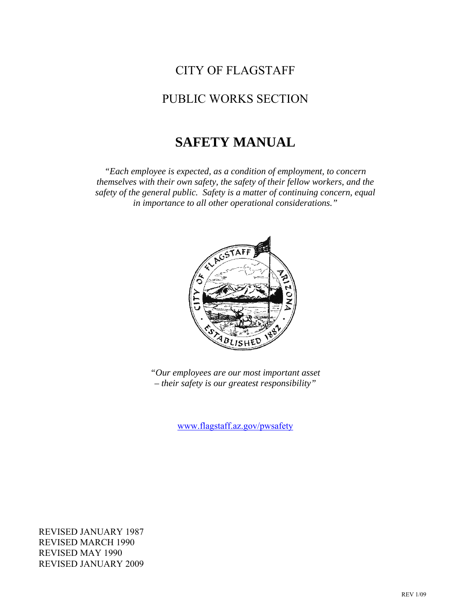# CITY OF FLAGSTAFF

## PUBLIC WORKS SECTION

# **SAFETY MANUAL**

*"Each employee is expected, as a condition of employment, to concern themselves with their own safety, the safety of their fellow workers, and the safety of the general public. Safety is a matter of continuing concern, equal in importance to all other operational considerations."* 



*"Our employees are our most important asset – their safety is our greatest responsibility"* 

[www.flagstaff.az.gov/pwsafety](http://www.flagstaff.az.gov/pwsafety)

REVISED JANUARY 1987 REVISED MARCH 1990 REVISED MAY 1990 REVISED JANUARY 2009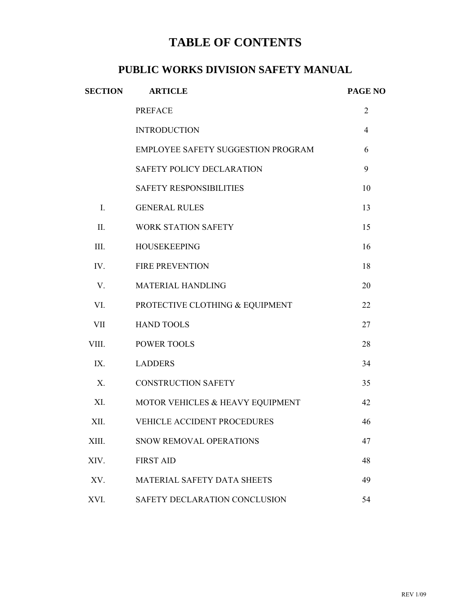# **TABLE OF CONTENTS**

## **PUBLIC WORKS DIVISION SAFETY MANUAL**

| <b>SECTION</b> | <b>ARTICLE</b>                     | PAGE NO        |  |
|----------------|------------------------------------|----------------|--|
|                | <b>PREFACE</b>                     | $\overline{2}$ |  |
|                | <b>INTRODUCTION</b>                | $\overline{4}$ |  |
|                | EMPLOYEE SAFETY SUGGESTION PROGRAM | 6              |  |
|                | SAFETY POLICY DECLARATION          | 9              |  |
|                | <b>SAFETY RESPONSIBILITIES</b>     | 10             |  |
| $I_{\cdot}$    | <b>GENERAL RULES</b>               | 13             |  |
| II.            | <b>WORK STATION SAFETY</b>         | 15             |  |
| III.           | <b>HOUSEKEEPING</b>                | 16             |  |
| IV.            | <b>FIRE PREVENTION</b>             | 18             |  |
| $V_{\cdot}$    | <b>MATERIAL HANDLING</b>           | 20             |  |
| VI.            | PROTECTIVE CLOTHING & EQUIPMENT    | 22             |  |
| <b>VII</b>     | <b>HAND TOOLS</b>                  | 27             |  |
| VIII.          | <b>POWER TOOLS</b>                 | 28             |  |
| IX.            | <b>LADDERS</b>                     | 34             |  |
| X.             | <b>CONSTRUCTION SAFETY</b>         | 35             |  |
| XI.            | MOTOR VEHICLES & HEAVY EQUIPMENT   | 42             |  |
| XII.           | VEHICLE ACCIDENT PROCEDURES        | 46             |  |
| XIII.          | SNOW REMOVAL OPERATIONS            | 47             |  |
| XIV.           | <b>FIRST AID</b>                   | 48             |  |
| XV.            | <b>MATERIAL SAFETY DATA SHEETS</b> | 49             |  |
| XVI.           | SAFETY DECLARATION CONCLUSION      | 54             |  |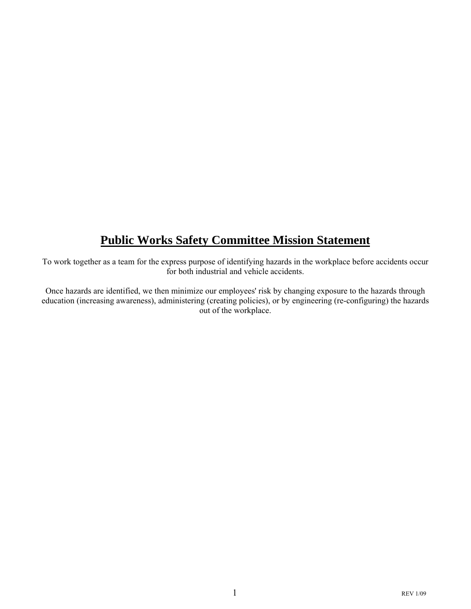# **Public Works Safety Committee Mission Statement**

To work together as a team for the express purpose of identifying hazards in the workplace before accidents occur for both industrial and vehicle accidents.

Once hazards are identified, we then minimize our employees' risk by changing exposure to the hazards through education (increasing awareness), administering (creating policies), or by engineering (re-configuring) the hazards out of the workplace.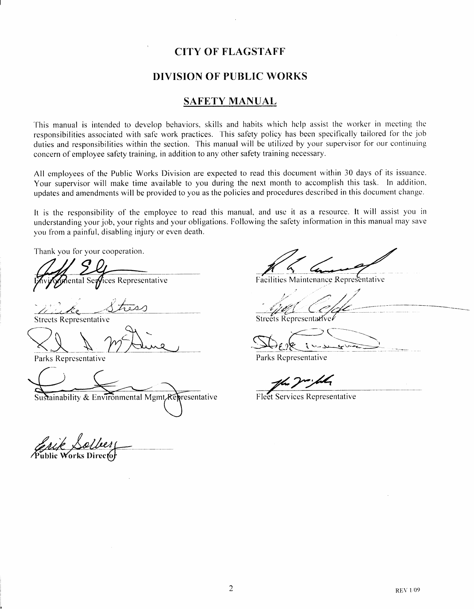### **CITY OF FLAGSTAFF**

### **DIVISION OF PUBLIC WORKS**

### **SAFETY MANUAL**

This manual is intended to develop behaviors, skills and habits which help assist the worker in meeting the responsibilities associated with safe work practices. This safety policy has been specifically tailored for the job duties and responsibilities within the section. This manual will be utilized by your supervisor for our continuing concern of employee safety training, in addition to any other safety training necessary.

All employees of the Public Works Division are expected to read this document within 30 days of its issuance. Your supervisor will make time available to you during the next month to accomplish this task. In addition, updates and amendments will be provided to you as the policies and procedures described in this document change.

It is the responsibility of the employee to read this manual, and use it as a resource. It will assist you in understanding your job, your rights and your obligations. Following the safety information in this manual may save you from a painful, disabling injury or even death.

Thank you for your cooperation.

ices Representative iental Se**r⁄** 

**Streets Representative** 

Parks Representative

Sustainability & Environmental Mgmt Representative

Facilities Maintenance Representative

Streets Representarive

Parks Representative

Fleet Services Representative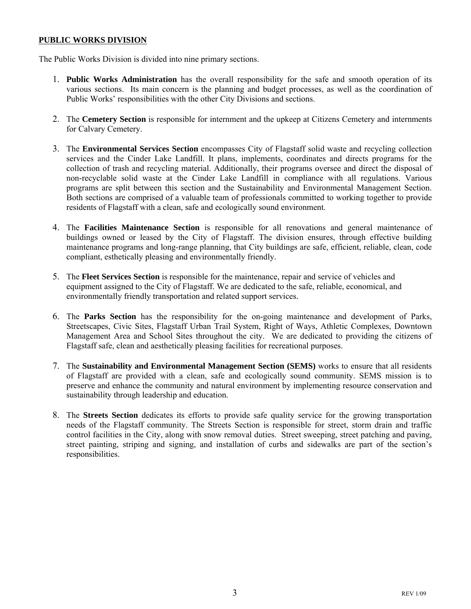### **PUBLIC WORKS DIVISION**

The Public Works Division is divided into nine primary sections.

- 1. **Public Works Administration** has the overall responsibility for the safe and smooth operation of its various sections. Its main concern is the planning and budget processes, as well as the coordination of Public Works' responsibilities with the other City Divisions and sections.
- 2. The **Cemetery Section** is responsible for internment and the upkeep at Citizens Cemetery and internments for Calvary Cemetery.
- 3. The **Environmental Services Section** encompasses City of Flagstaff solid waste and recycling collection services and the Cinder Lake Landfill. It plans, implements, coordinates and directs programs for the collection of trash and recycling material. Additionally, their programs oversee and direct the disposal of non-recyclable solid waste at the Cinder Lake Landfill in compliance with all regulations. Various programs are split between this section and the Sustainability and Environmental Management Section. Both sections are comprised of a valuable team of professionals committed to working together to provide residents of Flagstaff with a clean, safe and ecologically sound environment.
- 4. The **Facilities Maintenance Section** is responsible for all renovations and general maintenance of buildings owned or leased by the City of Flagstaff. The division ensures, through effective building maintenance programs and long-range planning, that City buildings are safe, efficient, reliable, clean, code compliant, esthetically pleasing and environmentally friendly.
- 5. The **Fleet Services Section** is responsible for the maintenance, repair and service of vehicles and equipment assigned to the City of Flagstaff. We are dedicated to the safe, reliable, economical, and environmentally friendly transportation and related support services.
- 6. The **Parks Section** has the responsibility for the on-going maintenance and development of Parks, Streetscapes, Civic Sites, Flagstaff Urban Trail System, Right of Ways, Athletic Complexes, Downtown Management Area and School Sites throughout the city. We are dedicated to providing the citizens of Flagstaff safe, clean and aesthetically pleasing facilities for recreational purposes.
- 7. The **Sustainability and Environmental Management Section (SEMS)** works to ensure that all residents of Flagstaff are provided with a clean, safe and ecologically sound community. SEMS mission is to preserve and enhance the community and natural environment by implementing resource conservation and sustainability through leadership and education.
- 8. The **Streets Section** dedicates its efforts to provide safe quality service for the growing transportation needs of the Flagstaff community. The Streets Section is responsible for street, storm drain and traffic control facilities in the City, along with snow removal duties. Street sweeping, street patching and paving, street painting, striping and signing, and installation of curbs and sidewalks are part of the section's responsibilities.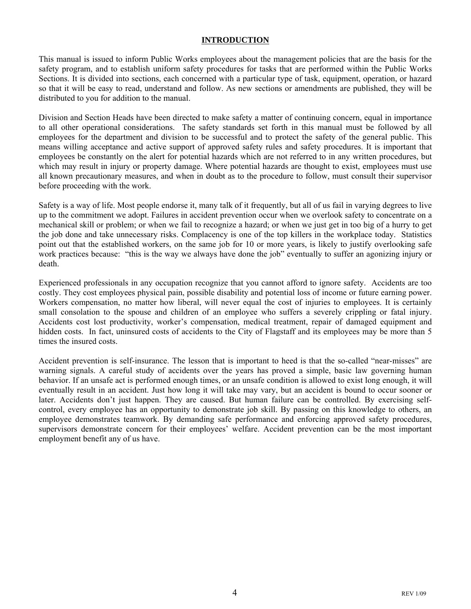### **INTRODUCTION**

This manual is issued to inform Public Works employees about the management policies that are the basis for the safety program, and to establish uniform safety procedures for tasks that are performed within the Public Works Sections. It is divided into sections, each concerned with a particular type of task, equipment, operation, or hazard so that it will be easy to read, understand and follow. As new sections or amendments are published, they will be distributed to you for addition to the manual.

Division and Section Heads have been directed to make safety a matter of continuing concern, equal in importance to all other operational considerations. The safety standards set forth in this manual must be followed by all employees for the department and division to be successful and to protect the safety of the general public. This means willing acceptance and active support of approved safety rules and safety procedures. It is important that employees be constantly on the alert for potential hazards which are not referred to in any written procedures, but which may result in injury or property damage. Where potential hazards are thought to exist, employees must use all known precautionary measures, and when in doubt as to the procedure to follow, must consult their supervisor before proceeding with the work.

Safety is a way of life. Most people endorse it, many talk of it frequently, but all of us fail in varying degrees to live up to the commitment we adopt. Failures in accident prevention occur when we overlook safety to concentrate on a mechanical skill or problem; or when we fail to recognize a hazard; or when we just get in too big of a hurry to get the job done and take unnecessary risks. Complacency is one of the top killers in the workplace today. Statistics point out that the established workers, on the same job for 10 or more years, is likely to justify overlooking safe work practices because: "this is the way we always have done the job" eventually to suffer an agonizing injury or death.

Experienced professionals in any occupation recognize that you cannot afford to ignore safety. Accidents are too costly. They cost employees physical pain, possible disability and potential loss of income or future earning power. Workers compensation, no matter how liberal, will never equal the cost of injuries to employees. It is certainly small consolation to the spouse and children of an employee who suffers a severely crippling or fatal injury. Accidents cost lost productivity, worker's compensation, medical treatment, repair of damaged equipment and hidden costs. In fact, uninsured costs of accidents to the City of Flagstaff and its employees may be more than 5 times the insured costs.

Accident prevention is self-insurance. The lesson that is important to heed is that the so-called "near-misses" are warning signals. A careful study of accidents over the years has proved a simple, basic law governing human behavior. If an unsafe act is performed enough times, or an unsafe condition is allowed to exist long enough, it will eventually result in an accident. Just how long it will take may vary, but an accident is bound to occur sooner or later. Accidents don't just happen. They are caused. But human failure can be controlled. By exercising selfcontrol, every employee has an opportunity to demonstrate job skill. By passing on this knowledge to others, an employee demonstrates teamwork. By demanding safe performance and enforcing approved safety procedures, supervisors demonstrate concern for their employees' welfare. Accident prevention can be the most important employment benefit any of us have.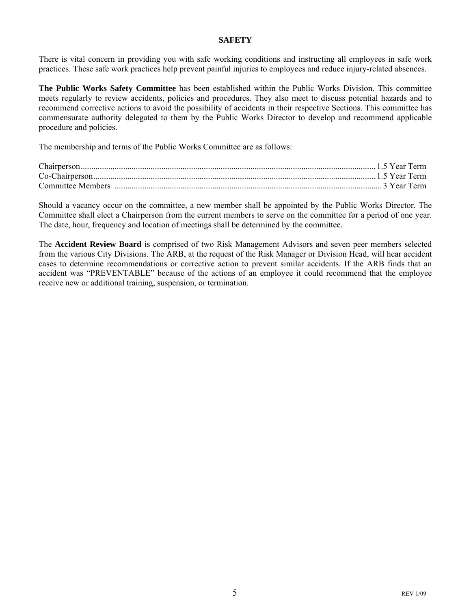### **SAFETY**

There is vital concern in providing you with safe working conditions and instructing all employees in safe work practices. These safe work practices help prevent painful injuries to employees and reduce injury-related absences.

**The Public Works Safety Committee** has been established within the Public Works Division. This committee meets regularly to review accidents, policies and procedures. They also meet to discuss potential hazards and to recommend corrective actions to avoid the possibility of accidents in their respective Sections. This committee has commensurate authority delegated to them by the Public Works Director to develop and recommend applicable procedure and policies.

The membership and terms of the Public Works Committee are as follows:

Should a vacancy occur on the committee, a new member shall be appointed by the Public Works Director. The Committee shall elect a Chairperson from the current members to serve on the committee for a period of one year. The date, hour, frequency and location of meetings shall be determined by the committee.

The **Accident Review Board** is comprised of two Risk Management Advisors and seven peer members selected from the various City Divisions. The ARB, at the request of the Risk Manager or Division Head, will hear accident cases to determine recommendations or corrective action to prevent similar accidents. If the ARB finds that an accident was "PREVENTABLE" because of the actions of an employee it could recommend that the employee receive new or additional training, suspension, or termination.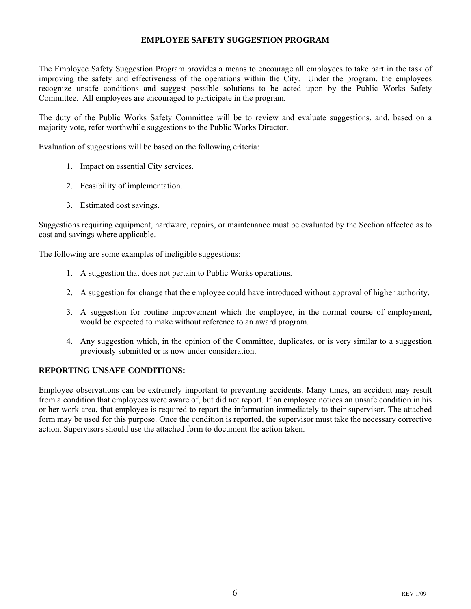### **EMPLOYEE SAFETY SUGGESTION PROGRAM**

The Employee Safety Suggestion Program provides a means to encourage all employees to take part in the task of improving the safety and effectiveness of the operations within the City. Under the program, the employees recognize unsafe conditions and suggest possible solutions to be acted upon by the Public Works Safety Committee. All employees are encouraged to participate in the program.

The duty of the Public Works Safety Committee will be to review and evaluate suggestions, and, based on a majority vote, refer worthwhile suggestions to the Public Works Director.

Evaluation of suggestions will be based on the following criteria:

- 1. Impact on essential City services.
- 2. Feasibility of implementation.
- 3. Estimated cost savings.

Suggestions requiring equipment, hardware, repairs, or maintenance must be evaluated by the Section affected as to cost and savings where applicable.

The following are some examples of ineligible suggestions:

- 1. A suggestion that does not pertain to Public Works operations.
- 2. A suggestion for change that the employee could have introduced without approval of higher authority.
- 3. A suggestion for routine improvement which the employee, in the normal course of employment, would be expected to make without reference to an award program.
- 4. Any suggestion which, in the opinion of the Committee, duplicates, or is very similar to a suggestion previously submitted or is now under consideration.

### **REPORTING UNSAFE CONDITIONS:**

Employee observations can be extremely important to preventing accidents. Many times, an accident may result from a condition that employees were aware of, but did not report. If an employee notices an unsafe condition in his or her work area, that employee is required to report the information immediately to their supervisor. The attached form may be used for this purpose. Once the condition is reported, the supervisor must take the necessary corrective action. Supervisors should use the attached form to document the action taken.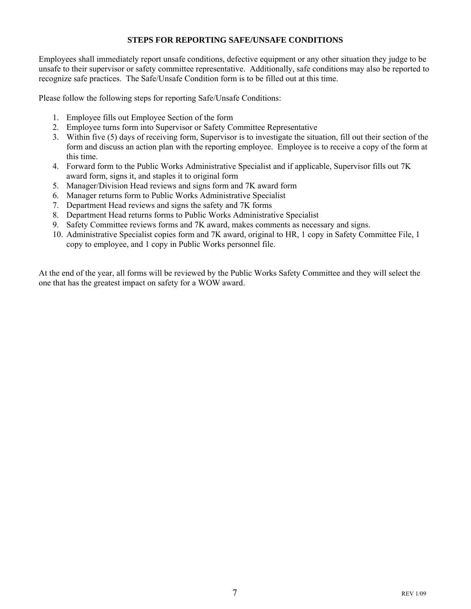### **STEPS FOR REPORTING SAFE/UNSAFE CONDITIONS**

Employees shall immediately report unsafe conditions, defective equipment or any other situation they judge to be unsafe to their supervisor or safety committee representative. Additionally, safe conditions may also be reported to recognize safe practices. The Safe/Unsafe Condition form is to be filled out at this time.

Please follow the following steps for reporting Safe/Unsafe Conditions:

- 1. Employee fills out Employee Section of the form
- 2. Employee turns form into Supervisor or Safety Committee Representative
- 3. Within five (5) days of receiving form, Supervisor is to investigate the situation, fill out their section of the form and discuss an action plan with the reporting employee. Employee is to receive a copy of the form at this time.
- 4. Forward form to the Public Works Administrative Specialist and if applicable, Supervisor fills out 7K award form, signs it, and staples it to original form
- 5. Manager/Division Head reviews and signs form and 7K award form
- 6. Manager returns form to Public Works Administrative Specialist
- 7. Department Head reviews and signs the safety and 7K forms
- 8. Department Head returns forms to Public Works Administrative Specialist
- 9. Safety Committee reviews forms and 7K award, makes comments as necessary and signs.
- 10. Administrative Specialist copies form and 7K award, original to HR, 1 copy in Safety Committee File, 1 copy to employee, and 1 copy in Public Works personnel file.

At the end of the year, all forms will be reviewed by the Public Works Safety Committee and they will select the one that has the greatest impact on safety for a WOW award.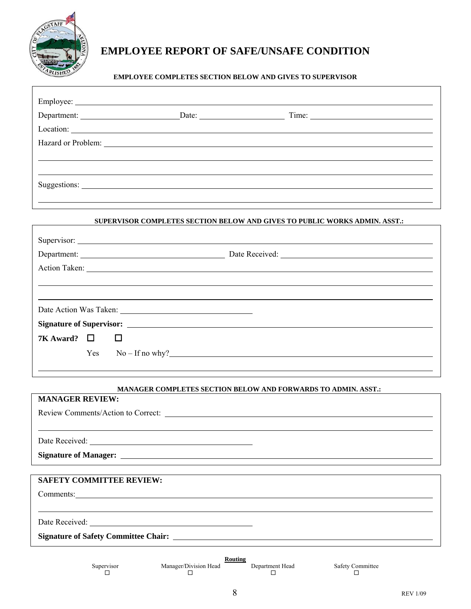

## **EMPLOYEE REPORT OF SAFE/UNSAFE CONDITION**

### **EMPLOYEE COMPLETES SECTION BELOW AND GIVES TO SUPERVISOR**

|                                                                            | Hazard or Problem: 1988 and 2008 and 2008 and 2008 and 2008 and 2008 and 2008 and 2008 and 2008 and 2008 and 2008 and 2008 and 2008 and 2008 and 2008 and 2008 and 2008 and 2008 and 2008 and 2008 and 2008 and 2008 and 2008 |  |  |  |
|----------------------------------------------------------------------------|-------------------------------------------------------------------------------------------------------------------------------------------------------------------------------------------------------------------------------|--|--|--|
|                                                                            |                                                                                                                                                                                                                               |  |  |  |
|                                                                            |                                                                                                                                                                                                                               |  |  |  |
|                                                                            | Suggestions:                                                                                                                                                                                                                  |  |  |  |
|                                                                            |                                                                                                                                                                                                                               |  |  |  |
| SUPERVISOR COMPLETES SECTION BELOW AND GIVES TO PUBLIC WORKS ADMIN. ASST.: |                                                                                                                                                                                                                               |  |  |  |
|                                                                            |                                                                                                                                                                                                                               |  |  |  |

|           |        | Date Action Was Taken:   |
|-----------|--------|--------------------------|
|           |        |                          |
| 7K Award? | $\Box$ | Ш                        |
|           |        | $Yes \t No - If no why?$ |
|           |        |                          |

### **MANAGER COMPLETES SECTION BELOW AND FORWARDS TO ADMIN. ASST.:**

| <b>MANAGER REVIEW:</b> |                                 |                                                                                                                                                                                                                                                                                            |        |                              |  |
|------------------------|---------------------------------|--------------------------------------------------------------------------------------------------------------------------------------------------------------------------------------------------------------------------------------------------------------------------------------------|--------|------------------------------|--|
|                        |                                 |                                                                                                                                                                                                                                                                                            |        |                              |  |
|                        |                                 |                                                                                                                                                                                                                                                                                            |        |                              |  |
|                        |                                 |                                                                                                                                                                                                                                                                                            |        |                              |  |
|                        |                                 | Signature of Manager: <u>Queen Communications</u> of Manager:                                                                                                                                                                                                                              |        |                              |  |
|                        |                                 |                                                                                                                                                                                                                                                                                            |        |                              |  |
|                        | <b>SAFETY COMMITTEE REVIEW:</b> |                                                                                                                                                                                                                                                                                            |        |                              |  |
|                        |                                 | Comments: Comments:                                                                                                                                                                                                                                                                        |        |                              |  |
|                        |                                 |                                                                                                                                                                                                                                                                                            |        |                              |  |
|                        |                                 |                                                                                                                                                                                                                                                                                            |        |                              |  |
|                        |                                 |                                                                                                                                                                                                                                                                                            |        |                              |  |
|                        |                                 |                                                                                                                                                                                                                                                                                            |        |                              |  |
|                        | Supervisor<br>◻                 | <b>Routing</b><br>Manager/Division Head Department Head<br>$\Box$ and the set of the set of the set of the set of the set of the set of the set of the set of the set of the set of the set of the set of the set of the set of the set of the set of the set of the set of the set of the | $\Box$ | <b>Safety Committee</b><br>□ |  |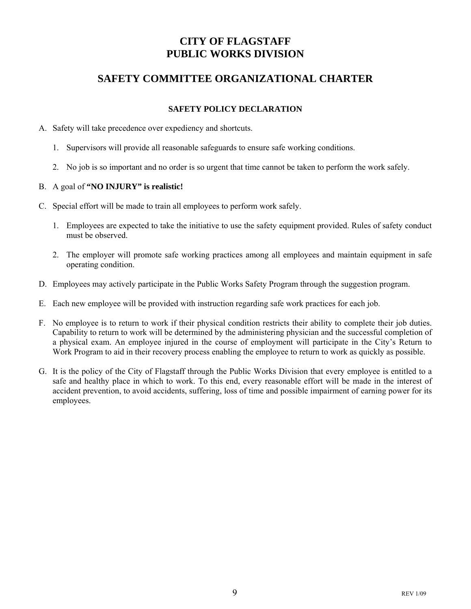## **CITY OF FLAGSTAFF PUBLIC WORKS DIVISION**

## **SAFETY COMMITTEE ORGANIZATIONAL CHARTER**

### **SAFETY POLICY DECLARATION**

- A. Safety will take precedence over expediency and shortcuts.
	- 1. Supervisors will provide all reasonable safeguards to ensure safe working conditions.
	- 2. No job is so important and no order is so urgent that time cannot be taken to perform the work safely.

### B. A goal of **"NO INJURY" is realistic!**

- C. Special effort will be made to train all employees to perform work safely.
	- 1. Employees are expected to take the initiative to use the safety equipment provided. Rules of safety conduct must be observed.
	- 2. The employer will promote safe working practices among all employees and maintain equipment in safe operating condition.
- D. Employees may actively participate in the Public Works Safety Program through the suggestion program.
- E. Each new employee will be provided with instruction regarding safe work practices for each job.
- F. No employee is to return to work if their physical condition restricts their ability to complete their job duties. Capability to return to work will be determined by the administering physician and the successful completion of a physical exam. An employee injured in the course of employment will participate in the City's Return to Work Program to aid in their recovery process enabling the employee to return to work as quickly as possible.
- G. It is the policy of the City of Flagstaff through the Public Works Division that every employee is entitled to a safe and healthy place in which to work. To this end, every reasonable effort will be made in the interest of accident prevention, to avoid accidents, suffering, loss of time and possible impairment of earning power for its employees.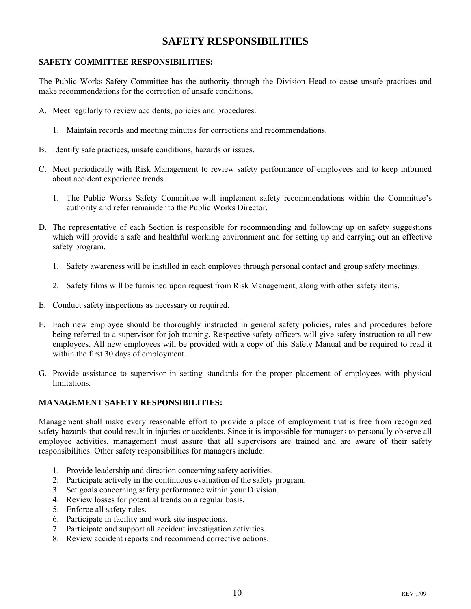## **SAFETY RESPONSIBILITIES**

### **SAFETY COMMITTEE RESPONSIBILITIES:**

The Public Works Safety Committee has the authority through the Division Head to cease unsafe practices and make recommendations for the correction of unsafe conditions.

- A. Meet regularly to review accidents, policies and procedures.
	- 1. Maintain records and meeting minutes for corrections and recommendations.
- B. Identify safe practices, unsafe conditions, hazards or issues.
- C. Meet periodically with Risk Management to review safety performance of employees and to keep informed about accident experience trends.
	- 1. The Public Works Safety Committee will implement safety recommendations within the Committee's authority and refer remainder to the Public Works Director.
- D. The representative of each Section is responsible for recommending and following up on safety suggestions which will provide a safe and healthful working environment and for setting up and carrying out an effective safety program.
	- 1. Safety awareness will be instilled in each employee through personal contact and group safety meetings.
	- 2. Safety films will be furnished upon request from Risk Management, along with other safety items.
- E. Conduct safety inspections as necessary or required.
- F. Each new employee should be thoroughly instructed in general safety policies, rules and procedures before being referred to a supervisor for job training. Respective safety officers will give safety instruction to all new employees. All new employees will be provided with a copy of this Safety Manual and be required to read it within the first 30 days of employment.
- G. Provide assistance to supervisor in setting standards for the proper placement of employees with physical limitations.

### **MANAGEMENT SAFETY RESPONSIBILITIES:**

Management shall make every reasonable effort to provide a place of employment that is free from recognized safety hazards that could result in injuries or accidents. Since it is impossible for managers to personally observe all employee activities, management must assure that all supervisors are trained and are aware of their safety responsibilities. Other safety responsibilities for managers include:

- 1. Provide leadership and direction concerning safety activities.
- 2. Participate actively in the continuous evaluation of the safety program.
- 3. Set goals concerning safety performance within your Division.
- 4. Review losses for potential trends on a regular basis.
- 5. Enforce all safety rules.
- 6. Participate in facility and work site inspections.
- 7. Participate and support all accident investigation activities.
- 8. Review accident reports and recommend corrective actions.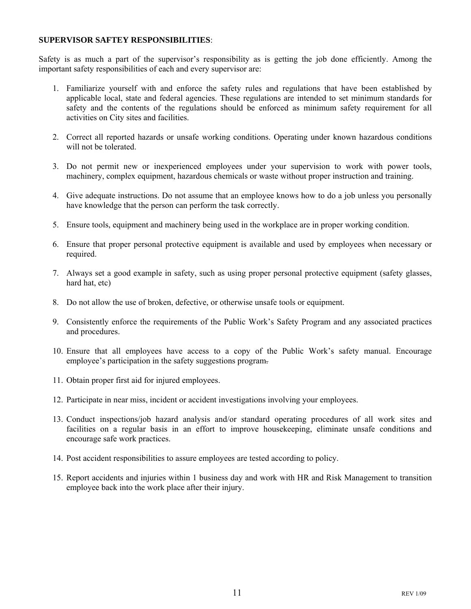#### **SUPERVISOR SAFTEY RESPONSIBILITIES**:

Safety is as much a part of the supervisor's responsibility as is getting the job done efficiently. Among the important safety responsibilities of each and every supervisor are:

- 1. Familiarize yourself with and enforce the safety rules and regulations that have been established by applicable local, state and federal agencies. These regulations are intended to set minimum standards for safety and the contents of the regulations should be enforced as minimum safety requirement for all activities on City sites and facilities.
- 2. Correct all reported hazards or unsafe working conditions. Operating under known hazardous conditions will not be tolerated.
- 3. Do not permit new or inexperienced employees under your supervision to work with power tools, machinery, complex equipment, hazardous chemicals or waste without proper instruction and training.
- 4. Give adequate instructions. Do not assume that an employee knows how to do a job unless you personally have knowledge that the person can perform the task correctly.
- 5. Ensure tools, equipment and machinery being used in the workplace are in proper working condition.
- 6. Ensure that proper personal protective equipment is available and used by employees when necessary or required.
- 7. Always set a good example in safety, such as using proper personal protective equipment (safety glasses, hard hat, etc)
- 8. Do not allow the use of broken, defective, or otherwise unsafe tools or equipment.
- 9. Consistently enforce the requirements of the Public Work's Safety Program and any associated practices and procedures.
- 10. Ensure that all employees have access to a copy of the Public Work's safety manual. Encourage employee's participation in the safety suggestions program.
- 11. Obtain proper first aid for injured employees.
- 12. Participate in near miss, incident or accident investigations involving your employees.
- 13. Conduct inspections/job hazard analysis and/or standard operating procedures of all work sites and facilities on a regular basis in an effort to improve housekeeping, eliminate unsafe conditions and encourage safe work practices.
- 14. Post accident responsibilities to assure employees are tested according to policy.
- 15. Report accidents and injuries within 1 business day and work with HR and Risk Management to transition employee back into the work place after their injury.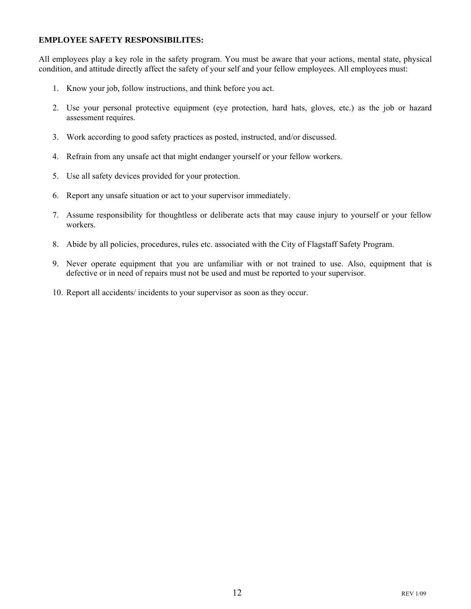### **EMPLOYEE SAFETY RESPONSIBILITES:**

All employees play a key role in the safety program. You must be aware that your actions, mental state, physical condition, and attitude directly affect the safety of your self and your fellow employees. All employees must:

- 1. Know your job, follow instructions, and think before you act.
- 2. Use your personal protective equipment (eye protection, hard hats, gloves, etc.) as the job or hazard assessment requires.
- 3. Work according to good safety practices as posted, instructed, and/or discussed.
- 4. Refrain from any unsafe act that might endanger yourself or your fellow workers.
- 5. Use all safety devices provided for your protection.
- 6. Report any unsafe situation or act to your supervisor immediately.
- 7. Assume responsibility for thoughtless or deliberate acts that may cause injury to yourself or your fellow workers.
- 8. Abide by all policies, procedures, rules etc. associated with the City of Flagstaff Safety Program.
- 9. Never operate equipment that you are unfamiliar with or not trained to use. Also, equipment that is defective or in need of repairs must not be used and must be reported to your supervisor.
- 10. Report all accidents/ incidents to your supervisor as soon as they occur.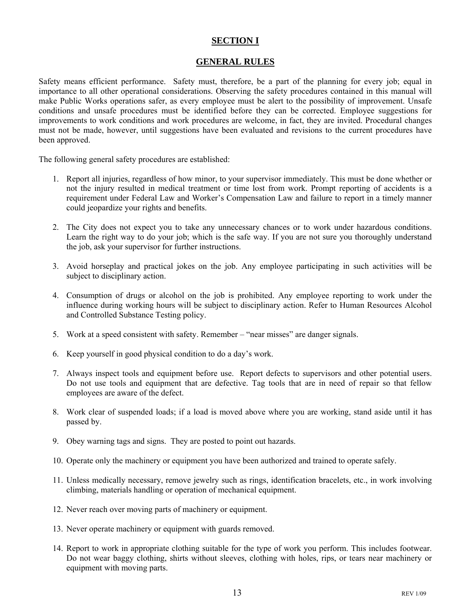### **SECTION I**

### **GENERAL RULES**

Safety means efficient performance. Safety must, therefore, be a part of the planning for every job; equal in importance to all other operational considerations. Observing the safety procedures contained in this manual will make Public Works operations safer, as every employee must be alert to the possibility of improvement. Unsafe conditions and unsafe procedures must be identified before they can be corrected. Employee suggestions for improvements to work conditions and work procedures are welcome, in fact, they are invited. Procedural changes must not be made, however, until suggestions have been evaluated and revisions to the current procedures have been approved.

The following general safety procedures are established:

- 1. Report all injuries, regardless of how minor, to your supervisor immediately. This must be done whether or not the injury resulted in medical treatment or time lost from work. Prompt reporting of accidents is a requirement under Federal Law and Worker's Compensation Law and failure to report in a timely manner could jeopardize your rights and benefits.
- 2. The City does not expect you to take any unnecessary chances or to work under hazardous conditions. Learn the right way to do your job; which is the safe way. If you are not sure you thoroughly understand the job, ask your supervisor for further instructions.
- 3. Avoid horseplay and practical jokes on the job. Any employee participating in such activities will be subject to disciplinary action.
- 4. Consumption of drugs or alcohol on the job is prohibited. Any employee reporting to work under the influence during working hours will be subject to disciplinary action. Refer to Human Resources Alcohol and Controlled Substance Testing policy.
- 5. Work at a speed consistent with safety. Remember "near misses" are danger signals.
- 6. Keep yourself in good physical condition to do a day's work.
- 7. Always inspect tools and equipment before use. Report defects to supervisors and other potential users. Do not use tools and equipment that are defective. Tag tools that are in need of repair so that fellow employees are aware of the defect.
- 8. Work clear of suspended loads; if a load is moved above where you are working, stand aside until it has passed by.
- 9. Obey warning tags and signs. They are posted to point out hazards.
- 10. Operate only the machinery or equipment you have been authorized and trained to operate safely.
- 11. Unless medically necessary, remove jewelry such as rings, identification bracelets, etc., in work involving climbing, materials handling or operation of mechanical equipment.
- 12. Never reach over moving parts of machinery or equipment.
- 13. Never operate machinery or equipment with guards removed.
- 14. Report to work in appropriate clothing suitable for the type of work you perform. This includes footwear. Do not wear baggy clothing, shirts without sleeves, clothing with holes, rips, or tears near machinery or equipment with moving parts.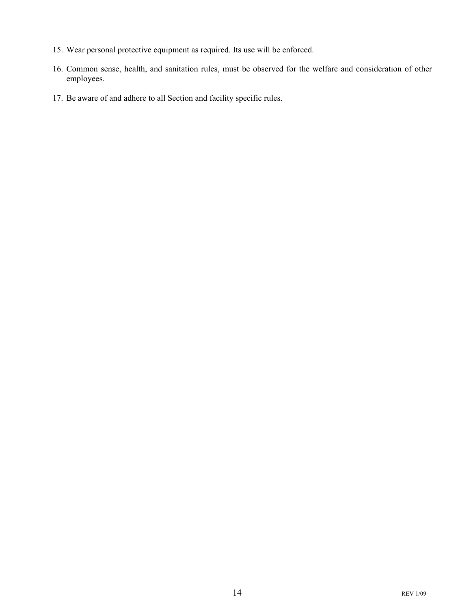- 15. Wear personal protective equipment as required. Its use will be enforced.
- 16. Common sense, health, and sanitation rules, must be observed for the welfare and consideration of other employees.
- 17. Be aware of and adhere to all Section and facility specific rules.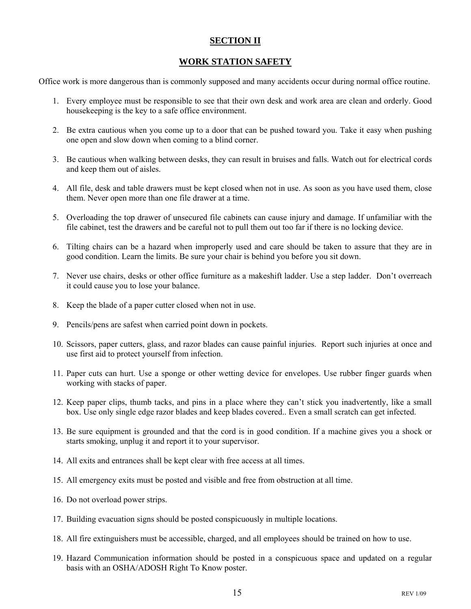### **SECTION II**

### **WORK STATION SAFETY**

Office work is more dangerous than is commonly supposed and many accidents occur during normal office routine.

- 1. Every employee must be responsible to see that their own desk and work area are clean and orderly. Good housekeeping is the key to a safe office environment.
- 2. Be extra cautious when you come up to a door that can be pushed toward you. Take it easy when pushing one open and slow down when coming to a blind corner.
- 3. Be cautious when walking between desks, they can result in bruises and falls. Watch out for electrical cords and keep them out of aisles.
- 4. All file, desk and table drawers must be kept closed when not in use. As soon as you have used them, close them. Never open more than one file drawer at a time.
- 5. Overloading the top drawer of unsecured file cabinets can cause injury and damage. If unfamiliar with the file cabinet, test the drawers and be careful not to pull them out too far if there is no locking device.
- 6. Tilting chairs can be a hazard when improperly used and care should be taken to assure that they are in good condition. Learn the limits. Be sure your chair is behind you before you sit down.
- 7. Never use chairs, desks or other office furniture as a makeshift ladder. Use a step ladder. Don't overreach it could cause you to lose your balance.
- 8. Keep the blade of a paper cutter closed when not in use.
- 9. Pencils/pens are safest when carried point down in pockets.
- 10. Scissors, paper cutters, glass, and razor blades can cause painful injuries. Report such injuries at once and use first aid to protect yourself from infection.
- 11. Paper cuts can hurt. Use a sponge or other wetting device for envelopes. Use rubber finger guards when working with stacks of paper.
- 12. Keep paper clips, thumb tacks, and pins in a place where they can't stick you inadvertently, like a small box. Use only single edge razor blades and keep blades covered.. Even a small scratch can get infected.
- 13. Be sure equipment is grounded and that the cord is in good condition. If a machine gives you a shock or starts smoking, unplug it and report it to your supervisor.
- 14. All exits and entrances shall be kept clear with free access at all times.
- 15. All emergency exits must be posted and visible and free from obstruction at all time.
- 16. Do not overload power strips.
- 17. Building evacuation signs should be posted conspicuously in multiple locations.
- 18. All fire extinguishers must be accessible, charged, and all employees should be trained on how to use.
- 19. Hazard Communication information should be posted in a conspicuous space and updated on a regular basis with an OSHA/ADOSH Right To Know poster.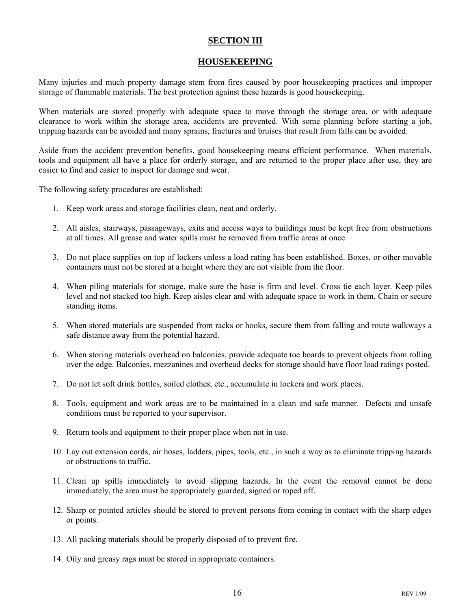### **SECTION III**

### **HOUSEKEEPING**

Many injuries and much property damage stem from fires caused by poor housekeeping practices and improper storage of flammable materials. The best protection against these hazards is good housekeeping.

When materials are stored properly with adequate space to move through the storage area, or with adequate clearance to work within the storage area, accidents are prevented. With some planning before starting a job, tripping hazards can be avoided and many sprains, fractures and bruises that result from falls can be avoided.

Aside from the accident prevention benefits, good housekeeping means efficient performance. When materials, tools and equipment all have a place for orderly storage, and are returned to the proper place after use, they are easier to find and easier to inspect for damage and wear.

The following safety procedures are established:

- 1. Keep work areas and storage facilities clean, neat and orderly.
- 2. All aisles, stairways, passageways, exits and access ways to buildings must be kept free from obstructions at all times. All grease and water spills must be removed from traffic areas at once.
- 3. Do not place supplies on top of lockers unless a load rating has been established. Boxes, or other movable containers must not be stored at a height where they are not visible from the floor.
- 4. When piling materials for storage, make sure the base is firm and level. Cross tie each layer. Keep piles level and not stacked too high. Keep aisles clear and with adequate space to work in them. Chain or secure standing items.
- 5. When stored materials are suspended from racks or hooks, secure them from falling and route walkways a safe distance away from the potential hazard.
- 6. When storing materials overhead on balconies, provide adequate toe boards to prevent objects from rolling over the edge. Balconies, mezzanines and overhead decks for storage should have floor load ratings posted.
- 7. Do not let soft drink bottles, soiled clothes, etc., accumulate in lockers and work places.
- 8. Tools, equipment and work areas are to be maintained in a clean and safe manner. Defects and unsafe conditions must be reported to your supervisor.
- 9. Return tools and equipment to their proper place when not in use.
- 10. Lay out extension cords, air hoses, ladders, pipes, tools, etc., in such a way as to eliminate tripping hazards or obstructions to traffic.
- 11. Clean up spills immediately to avoid slipping hazards. In the event the removal cannot be done immediately, the area must be appropriately guarded, signed or roped off.
- 12. Sharp or pointed articles should be stored to prevent persons from coming in contact with the sharp edges or points.
- 13. All packing materials should be properly disposed of to prevent fire.
- 14. Oily and greasy rags must be stored in appropriate containers.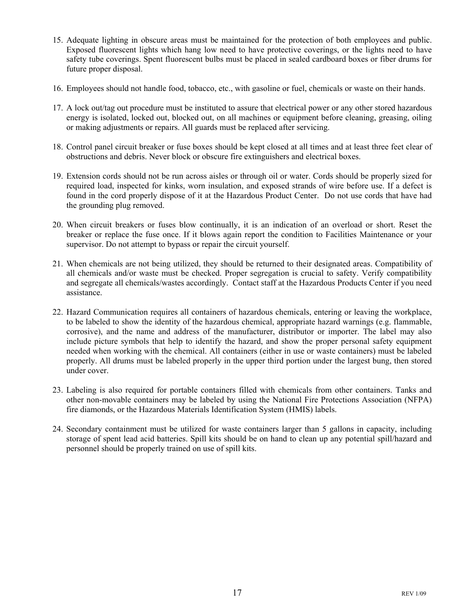- 15. Adequate lighting in obscure areas must be maintained for the protection of both employees and public. Exposed fluorescent lights which hang low need to have protective coverings, or the lights need to have safety tube coverings. Spent fluorescent bulbs must be placed in sealed cardboard boxes or fiber drums for future proper disposal.
- 16. Employees should not handle food, tobacco, etc., with gasoline or fuel, chemicals or waste on their hands.
- 17. A lock out/tag out procedure must be instituted to assure that electrical power or any other stored hazardous energy is isolated, locked out, blocked out, on all machines or equipment before cleaning, greasing, oiling or making adjustments or repairs. All guards must be replaced after servicing.
- 18. Control panel circuit breaker or fuse boxes should be kept closed at all times and at least three feet clear of obstructions and debris. Never block or obscure fire extinguishers and electrical boxes.
- 19. Extension cords should not be run across aisles or through oil or water. Cords should be properly sized for required load, inspected for kinks, worn insulation, and exposed strands of wire before use. If a defect is found in the cord properly dispose of it at the Hazardous Product Center. Do not use cords that have had the grounding plug removed.
- 20. When circuit breakers or fuses blow continually, it is an indication of an overload or short. Reset the breaker or replace the fuse once. If it blows again report the condition to Facilities Maintenance or your supervisor. Do not attempt to bypass or repair the circuit yourself.
- 21. When chemicals are not being utilized, they should be returned to their designated areas. Compatibility of all chemicals and/or waste must be checked. Proper segregation is crucial to safety. Verify compatibility and segregate all chemicals/wastes accordingly. Contact staff at the Hazardous Products Center if you need assistance.
- 22. Hazard Communication requires all containers of hazardous chemicals, entering or leaving the workplace, to be labeled to show the identity of the hazardous chemical, appropriate hazard warnings (e.g. flammable, corrosive), and the name and address of the manufacturer, distributor or importer. The label may also include picture symbols that help to identify the hazard, and show the proper personal safety equipment needed when working with the chemical. All containers (either in use or waste containers) must be labeled properly. All drums must be labeled properly in the upper third portion under the largest bung, then stored under cover.
- 23. Labeling is also required for portable containers filled with chemicals from other containers. Tanks and other non-movable containers may be labeled by using the National Fire Protections Association (NFPA) fire diamonds, or the Hazardous Materials Identification System (HMIS) labels.
- 24. Secondary containment must be utilized for waste containers larger than 5 gallons in capacity, including storage of spent lead acid batteries. Spill kits should be on hand to clean up any potential spill/hazard and personnel should be properly trained on use of spill kits.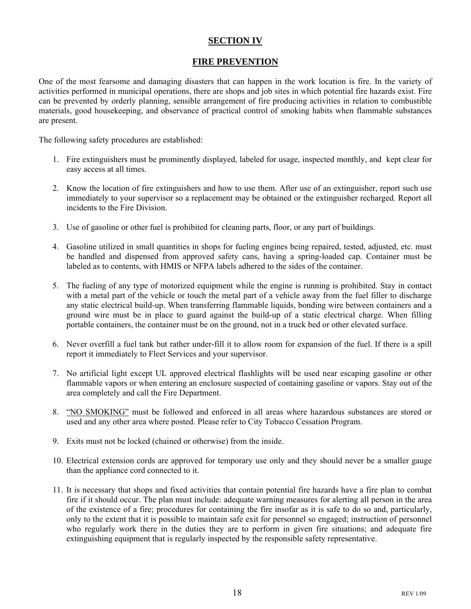### **SECTION IV**

### **FIRE PREVENTION**

One of the most fearsome and damaging disasters that can happen in the work location is fire. In the variety of activities performed in municipal operations, there are shops and job sites in which potential fire hazards exist. Fire can be prevented by orderly planning, sensible arrangement of fire producing activities in relation to combustible materials, good housekeeping, and observance of practical control of smoking habits when flammable substances are present.

The following safety procedures are established:

- 1. Fire extinguishers must be prominently displayed, labeled for usage, inspected monthly, and kept clear for easy access at all times.
- 2. Know the location of fire extinguishers and how to use them. After use of an extinguisher, report such use immediately to your supervisor so a replacement may be obtained or the extinguisher recharged. Report all incidents to the Fire Division.
- 3. Use of gasoline or other fuel is prohibited for cleaning parts, floor, or any part of buildings.
- 4. Gasoline utilized in small quantities in shops for fueling engines being repaired, tested, adjusted, etc. must be handled and dispensed from approved safety cans, having a spring-loaded cap. Container must be labeled as to contents, with HMIS or NFPA labels adhered to the sides of the container.
- 5. The fueling of any type of motorized equipment while the engine is running is prohibited. Stay in contact with a metal part of the vehicle or touch the metal part of a vehicle away from the fuel filler to discharge any static electrical build-up. When transferring flammable liquids, bonding wire between containers and a ground wire must be in place to guard against the build-up of a static electrical charge. When filling portable containers, the container must be on the ground, not in a truck bed or other elevated surface.
- 6. Never overfill a fuel tank but rather under-fill it to allow room for expansion of the fuel. If there is a spill report it immediately to Fleet Services and your supervisor.
- 7. No artificial light except UL approved electrical flashlights will be used near escaping gasoline or other flammable vapors or when entering an enclosure suspected of containing gasoline or vapors. Stay out of the area completely and call the Fire Department.
- 8. "NO SMOKING" must be followed and enforced in all areas where hazardous substances are stored or used and any other area where posted. Please refer to City Tobacco Cessation Program.
- 9. Exits must not be locked (chained or otherwise) from the inside.
- 10. Electrical extension cords are approved for temporary use only and they should never be a smaller gauge than the appliance cord connected to it.
- 11. It is necessary that shops and fixed activities that contain potential fire hazards have a fire plan to combat fire if it should occur. The plan must include: adequate warning measures for alerting all person in the area of the existence of a fire; procedures for containing the fire insofar as it is safe to do so and, particularly, only to the extent that it is possible to maintain safe exit for personnel so engaged; instruction of personnel who regularly work there in the duties they are to perform in given fire situations; and adequate fire extinguishing equipment that is regularly inspected by the responsible safety representative.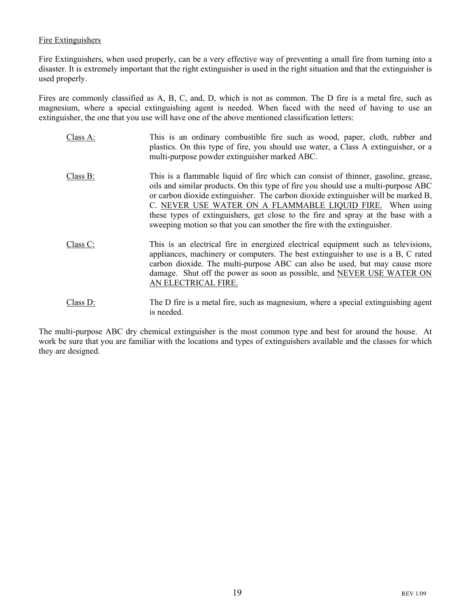### Fire Extinguishers

Fire Extinguishers, when used properly, can be a very effective way of preventing a small fire from turning into a disaster. It is extremely important that the right extinguisher is used in the right situation and that the extinguisher is used properly.

Fires are commonly classified as A, B, C, and, D, which is not as common. The D fire is a metal fire, such as magnesium, where a special extinguishing agent is needed. When faced with the need of having to use an extinguisher, the one that you use will have one of the above mentioned classification letters:

- Class A: This is an ordinary combustible fire such as wood, paper, cloth, rubber and plastics. On this type of fire, you should use water, a Class A extinguisher, or a multi-purpose powder extinguisher marked ABC.
- Class B: This is a flammable liquid of fire which can consist of thinner, gasoline, grease, oils and similar products. On this type of fire you should use a multi-purpose ABC or carbon dioxide extinguisher. The carbon dioxide extinguisher will be marked B, C. NEVER USE WATER ON A FLAMMABLE LIQUID FIRE. When using these types of extinguishers, get close to the fire and spray at the base with a sweeping motion so that you can smother the fire with the extinguisher.
- Class C: This is an electrical fire in energized electrical equipment such as televisions, appliances, machinery or computers. The best extinguisher to use is a B, C rated carbon dioxide. The multi-purpose ABC can also be used, but may cause more damage. Shut off the power as soon as possible, and NEVER USE WATER ON AN ELECTRICAL FIRE.
- Class D: The D fire is a metal fire, such as magnesium, where a special extinguishing agent is needed.

The multi-purpose ABC dry chemical extinguisher is the most common type and best for around the house. At work be sure that you are familiar with the locations and types of extinguishers available and the classes for which they are designed.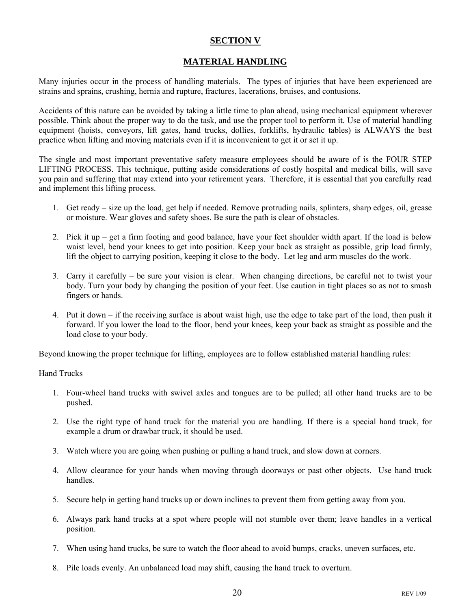### **SECTION V**

### **MATERIAL HANDLING**

Many injuries occur in the process of handling materials. The types of injuries that have been experienced are strains and sprains, crushing, hernia and rupture, fractures, lacerations, bruises, and contusions.

Accidents of this nature can be avoided by taking a little time to plan ahead, using mechanical equipment wherever possible. Think about the proper way to do the task, and use the proper tool to perform it. Use of material handling equipment (hoists, conveyors, lift gates, hand trucks, dollies, forklifts, hydraulic tables) is ALWAYS the best practice when lifting and moving materials even if it is inconvenient to get it or set it up.

The single and most important preventative safety measure employees should be aware of is the FOUR STEP LIFTING PROCESS. This technique, putting aside considerations of costly hospital and medical bills, will save you pain and suffering that may extend into your retirement years. Therefore, it is essential that you carefully read and implement this lifting process.

- 1. Get ready size up the load, get help if needed. Remove protruding nails, splinters, sharp edges, oil, grease or moisture. Wear gloves and safety shoes. Be sure the path is clear of obstacles.
- 2. Pick it up get a firm footing and good balance, have your feet shoulder width apart. If the load is below waist level, bend your knees to get into position. Keep your back as straight as possible, grip load firmly, lift the object to carrying position, keeping it close to the body. Let leg and arm muscles do the work.
- 3. Carry it carefully be sure your vision is clear. When changing directions, be careful not to twist your body. Turn your body by changing the position of your feet. Use caution in tight places so as not to smash fingers or hands.
- 4. Put it down if the receiving surface is about waist high, use the edge to take part of the load, then push it forward. If you lower the load to the floor, bend your knees, keep your back as straight as possible and the load close to your body.

Beyond knowing the proper technique for lifting, employees are to follow established material handling rules:

### Hand Trucks

- 1. Four-wheel hand trucks with swivel axles and tongues are to be pulled; all other hand trucks are to be pushed.
- 2. Use the right type of hand truck for the material you are handling. If there is a special hand truck, for example a drum or drawbar truck, it should be used.
- 3. Watch where you are going when pushing or pulling a hand truck, and slow down at corners.
- 4. Allow clearance for your hands when moving through doorways or past other objects. Use hand truck handles.
- 5. Secure help in getting hand trucks up or down inclines to prevent them from getting away from you.
- 6. Always park hand trucks at a spot where people will not stumble over them; leave handles in a vertical position.
- 7. When using hand trucks, be sure to watch the floor ahead to avoid bumps, cracks, uneven surfaces, etc.
- 8. Pile loads evenly. An unbalanced load may shift, causing the hand truck to overturn.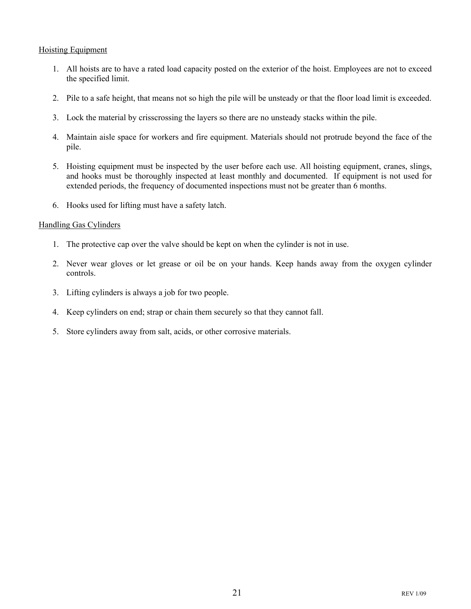### Hoisting Equipment

- 1. All hoists are to have a rated load capacity posted on the exterior of the hoist. Employees are not to exceed the specified limit.
- 2. Pile to a safe height, that means not so high the pile will be unsteady or that the floor load limit is exceeded.
- 3. Lock the material by crisscrossing the layers so there are no unsteady stacks within the pile.
- 4. Maintain aisle space for workers and fire equipment. Materials should not protrude beyond the face of the pile.
- 5. Hoisting equipment must be inspected by the user before each use. All hoisting equipment, cranes, slings, and hooks must be thoroughly inspected at least monthly and documented. If equipment is not used for extended periods, the frequency of documented inspections must not be greater than 6 months.
- 6. Hooks used for lifting must have a safety latch.

### Handling Gas Cylinders

- 1. The protective cap over the valve should be kept on when the cylinder is not in use.
- 2. Never wear gloves or let grease or oil be on your hands. Keep hands away from the oxygen cylinder controls.
- 3. Lifting cylinders is always a job for two people.
- 4. Keep cylinders on end; strap or chain them securely so that they cannot fall.
- 5. Store cylinders away from salt, acids, or other corrosive materials.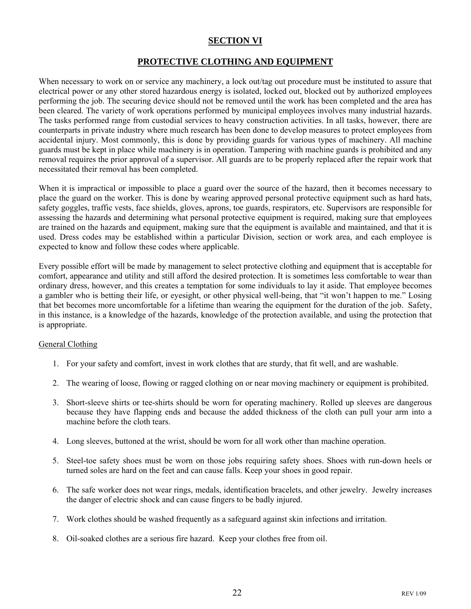### **SECTION VI**

### **PROTECTIVE CLOTHING AND EQUIPMENT**

When necessary to work on or service any machinery, a lock out/tag out procedure must be instituted to assure that electrical power or any other stored hazardous energy is isolated, locked out, blocked out by authorized employees performing the job. The securing device should not be removed until the work has been completed and the area has been cleared. The variety of work operations performed by municipal employees involves many industrial hazards. The tasks performed range from custodial services to heavy construction activities. In all tasks, however, there are counterparts in private industry where much research has been done to develop measures to protect employees from accidental injury. Most commonly, this is done by providing guards for various types of machinery. All machine guards must be kept in place while machinery is in operation. Tampering with machine guards is prohibited and any removal requires the prior approval of a supervisor. All guards are to be properly replaced after the repair work that necessitated their removal has been completed.

When it is impractical or impossible to place a guard over the source of the hazard, then it becomes necessary to place the guard on the worker. This is done by wearing approved personal protective equipment such as hard hats, safety goggles, traffic vests, face shields, gloves, aprons, toe guards, respirators, etc. Supervisors are responsible for assessing the hazards and determining what personal protective equipment is required, making sure that employees are trained on the hazards and equipment, making sure that the equipment is available and maintained, and that it is used. Dress codes may be established within a particular Division, section or work area, and each employee is expected to know and follow these codes where applicable.

Every possible effort will be made by management to select protective clothing and equipment that is acceptable for comfort, appearance and utility and still afford the desired protection. It is sometimes less comfortable to wear than ordinary dress, however, and this creates a temptation for some individuals to lay it aside. That employee becomes a gambler who is betting their life, or eyesight, or other physical well-being, that "it won't happen to me." Losing that bet becomes more uncomfortable for a lifetime than wearing the equipment for the duration of the job. Safety, in this instance, is a knowledge of the hazards, knowledge of the protection available, and using the protection that is appropriate.

### General Clothing

- 1. For your safety and comfort, invest in work clothes that are sturdy, that fit well, and are washable.
- 2. The wearing of loose, flowing or ragged clothing on or near moving machinery or equipment is prohibited.
- 3. Short-sleeve shirts or tee-shirts should be worn for operating machinery. Rolled up sleeves are dangerous because they have flapping ends and because the added thickness of the cloth can pull your arm into a machine before the cloth tears.
- 4. Long sleeves, buttoned at the wrist, should be worn for all work other than machine operation.
- 5. Steel-toe safety shoes must be worn on those jobs requiring safety shoes. Shoes with run-down heels or turned soles are hard on the feet and can cause falls. Keep your shoes in good repair.
- 6. The safe worker does not wear rings, medals, identification bracelets, and other jewelry. Jewelry increases the danger of electric shock and can cause fingers to be badly injured.
- 7. Work clothes should be washed frequently as a safeguard against skin infections and irritation.
- 8. Oil-soaked clothes are a serious fire hazard. Keep your clothes free from oil.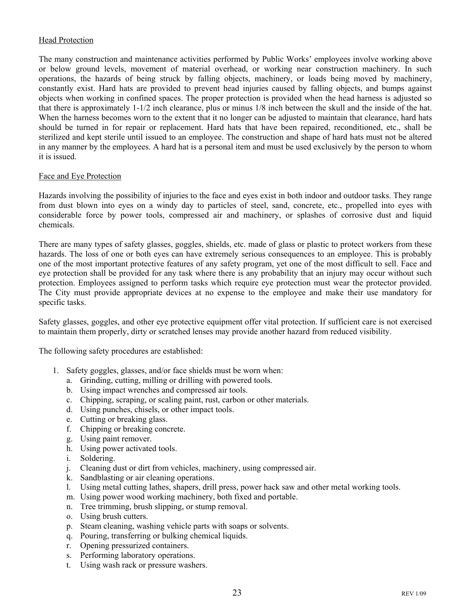### Head Protection

The many construction and maintenance activities performed by Public Works' employees involve working above or below ground levels, movement of material overhead, or working near construction machinery. In such operations, the hazards of being struck by falling objects, machinery, or loads being moved by machinery, constantly exist. Hard hats are provided to prevent head injuries caused by falling objects, and bumps against objects when working in confined spaces. The proper protection is provided when the head harness is adjusted so that there is approximately 1-1/2 inch clearance, plus or minus 1/8 inch between the skull and the inside of the hat. When the harness becomes worn to the extent that it no longer can be adjusted to maintain that clearance, hard hats should be turned in for repair or replacement. Hard hats that have been repaired, reconditioned, etc., shall be sterilized and kept sterile until issued to an employee. The construction and shape of hard hats must not be altered in any manner by the employees. A hard hat is a personal item and must be used exclusively by the person to whom it is issued.

### Face and Eye Protection

Hazards involving the possibility of injuries to the face and eyes exist in both indoor and outdoor tasks. They range from dust blown into eyes on a windy day to particles of steel, sand, concrete, etc., propelled into eyes with considerable force by power tools, compressed air and machinery, or splashes of corrosive dust and liquid chemicals.

There are many types of safety glasses, goggles, shields, etc. made of glass or plastic to protect workers from these hazards. The loss of one or both eyes can have extremely serious consequences to an employee. This is probably one of the most important protective features of any safety program, yet one of the most difficult to sell. Face and eye protection shall be provided for any task where there is any probability that an injury may occur without such protection. Employees assigned to perform tasks which require eye protection must wear the protector provided. The City must provide appropriate devices at no expense to the employee and make their use mandatory for specific tasks.

Safety glasses, goggles, and other eye protective equipment offer vital protection. If sufficient care is not exercised to maintain them properly, dirty or scratched lenses may provide another hazard from reduced visibility.

The following safety procedures are established:

- 1. Safety goggles, glasses, and/or face shields must be worn when:
	- a. Grinding, cutting, milling or drilling with powered tools.
	- b. Using impact wrenches and compressed air tools.
	- c. Chipping, scraping, or scaling paint, rust, carbon or other materials.
	- d. Using punches, chisels, or other impact tools.
	- e. Cutting or breaking glass.
	- f. Chipping or breaking concrete.
	- g. Using paint remover.
	- h. Using power activated tools.
	- i. Soldering.
	- j. Cleaning dust or dirt from vehicles, machinery, using compressed air.
	- k. Sandblasting or air cleaning operations.
	- l. Using metal cutting lathes, shapers, drill press, power hack saw and other metal working tools.
	- m. Using power wood working machinery, both fixed and portable.
	- n. Tree trimming, brush slipping, or stump removal.
	- o. Using brush cutters.
	- p. Steam cleaning, washing vehicle parts with soaps or solvents.
	- q. Pouring, transferring or bulking chemical liquids.
	- r. Opening pressurized containers.
	- s. Performing laboratory operations.
	- t. Using wash rack or pressure washers.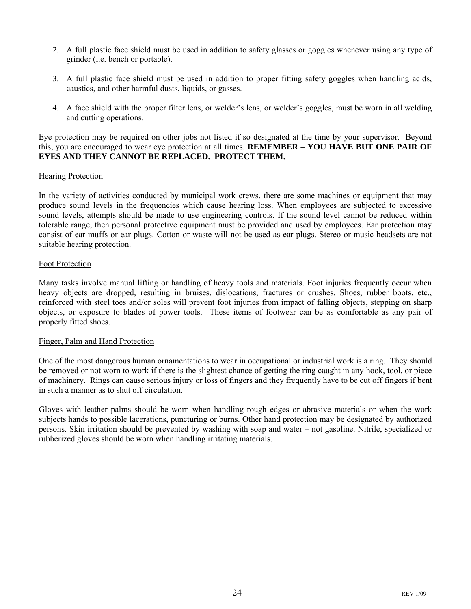- 2. A full plastic face shield must be used in addition to safety glasses or goggles whenever using any type of grinder (i.e. bench or portable).
- 3. A full plastic face shield must be used in addition to proper fitting safety goggles when handling acids, caustics, and other harmful dusts, liquids, or gasses.
- 4. A face shield with the proper filter lens, or welder's lens, or welder's goggles, must be worn in all welding and cutting operations.

Eye protection may be required on other jobs not listed if so designated at the time by your supervisor. Beyond this, you are encouraged to wear eye protection at all times. **REMEMBER – YOU HAVE BUT ONE PAIR OF EYES AND THEY CANNOT BE REPLACED. PROTECT THEM.** 

### Hearing Protection

In the variety of activities conducted by municipal work crews, there are some machines or equipment that may produce sound levels in the frequencies which cause hearing loss. When employees are subjected to excessive sound levels, attempts should be made to use engineering controls. If the sound level cannot be reduced within tolerable range, then personal protective equipment must be provided and used by employees. Ear protection may consist of ear muffs or ear plugs. Cotton or waste will not be used as ear plugs. Stereo or music headsets are not suitable hearing protection.

#### Foot Protection

Many tasks involve manual lifting or handling of heavy tools and materials. Foot injuries frequently occur when heavy objects are dropped, resulting in bruises, dislocations, fractures or crushes. Shoes, rubber boots, etc., reinforced with steel toes and/or soles will prevent foot injuries from impact of falling objects, stepping on sharp objects, or exposure to blades of power tools. These items of footwear can be as comfortable as any pair of properly fitted shoes.

### Finger, Palm and Hand Protection

One of the most dangerous human ornamentations to wear in occupational or industrial work is a ring. They should be removed or not worn to work if there is the slightest chance of getting the ring caught in any hook, tool, or piece of machinery. Rings can cause serious injury or loss of fingers and they frequently have to be cut off fingers if bent in such a manner as to shut off circulation.

Gloves with leather palms should be worn when handling rough edges or abrasive materials or when the work subjects hands to possible lacerations, puncturing or burns. Other hand protection may be designated by authorized persons. Skin irritation should be prevented by washing with soap and water – not gasoline. Nitrile, specialized or rubberized gloves should be worn when handling irritating materials.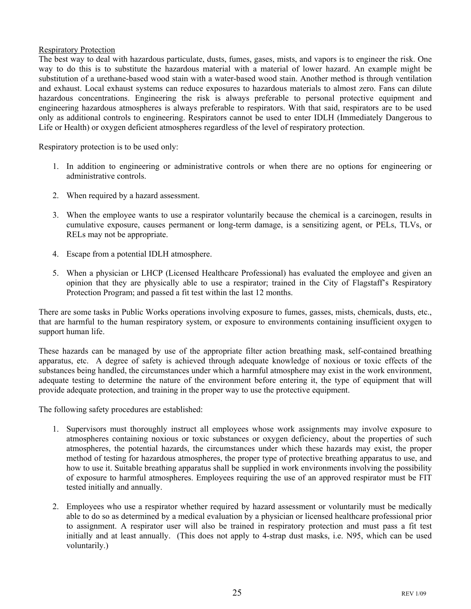### Respiratory Protection

The best way to deal with hazardous particulate, dusts, fumes, gases, mists, and vapors is to engineer the risk. One way to do this is to substitute the hazardous material with a material of lower hazard. An example might be substitution of a urethane-based wood stain with a water-based wood stain. Another method is through ventilation and exhaust. Local exhaust systems can reduce exposures to hazardous materials to almost zero. Fans can dilute hazardous concentrations. Engineering the risk is always preferable to personal protective equipment and engineering hazardous atmospheres is always preferable to respirators. With that said, respirators are to be used only as additional controls to engineering. Respirators cannot be used to enter IDLH (Immediately Dangerous to Life or Health) or oxygen deficient atmospheres regardless of the level of respiratory protection.

Respiratory protection is to be used only:

- 1. In addition to engineering or administrative controls or when there are no options for engineering or administrative controls.
- 2. When required by a hazard assessment.
- 3. When the employee wants to use a respirator voluntarily because the chemical is a carcinogen, results in cumulative exposure, causes permanent or long-term damage, is a sensitizing agent, or PELs, TLVs, or RELs may not be appropriate.
- 4. Escape from a potential IDLH atmosphere.
- 5. When a physician or LHCP (Licensed Healthcare Professional) has evaluated the employee and given an opinion that they are physically able to use a respirator; trained in the City of Flagstaff's Respiratory Protection Program; and passed a fit test within the last 12 months.

There are some tasks in Public Works operations involving exposure to fumes, gasses, mists, chemicals, dusts, etc., that are harmful to the human respiratory system, or exposure to environments containing insufficient oxygen to support human life.

These hazards can be managed by use of the appropriate filter action breathing mask, self-contained breathing apparatus, etc. A degree of safety is achieved through adequate knowledge of noxious or toxic effects of the substances being handled, the circumstances under which a harmful atmosphere may exist in the work environment, adequate testing to determine the nature of the environment before entering it, the type of equipment that will provide adequate protection, and training in the proper way to use the protective equipment.

The following safety procedures are established:

- 1. Supervisors must thoroughly instruct all employees whose work assignments may involve exposure to atmospheres containing noxious or toxic substances or oxygen deficiency, about the properties of such atmospheres, the potential hazards, the circumstances under which these hazards may exist, the proper method of testing for hazardous atmospheres, the proper type of protective breathing apparatus to use, and how to use it. Suitable breathing apparatus shall be supplied in work environments involving the possibility of exposure to harmful atmospheres. Employees requiring the use of an approved respirator must be FIT tested initially and annually.
- 2. Employees who use a respirator whether required by hazard assessment or voluntarily must be medically able to do so as determined by a medical evaluation by a physician or licensed healthcare professional prior to assignment. A respirator user will also be trained in respiratory protection and must pass a fit test initially and at least annually. (This does not apply to 4-strap dust masks, i.e. N95, which can be used voluntarily.)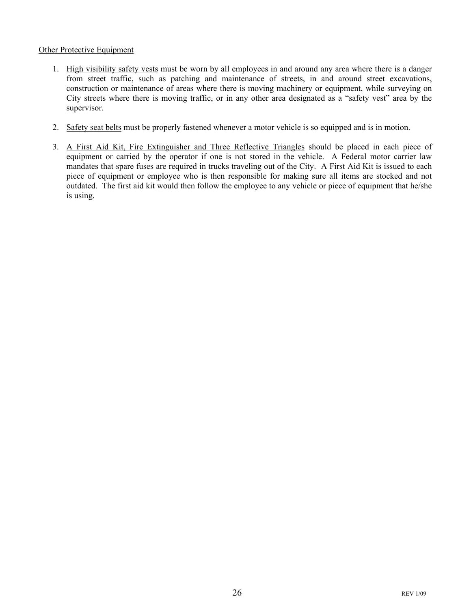### Other Protective Equipment

- 1. High visibility safety vests must be worn by all employees in and around any area where there is a danger from street traffic, such as patching and maintenance of streets, in and around street excavations, construction or maintenance of areas where there is moving machinery or equipment, while surveying on City streets where there is moving traffic, or in any other area designated as a "safety vest" area by the supervisor.
- 2. Safety seat belts must be properly fastened whenever a motor vehicle is so equipped and is in motion.
- 3. A First Aid Kit, Fire Extinguisher and Three Reflective Triangles should be placed in each piece of equipment or carried by the operator if one is not stored in the vehicle. A Federal motor carrier law mandates that spare fuses are required in trucks traveling out of the City. A First Aid Kit is issued to each piece of equipment or employee who is then responsible for making sure all items are stocked and not outdated. The first aid kit would then follow the employee to any vehicle or piece of equipment that he/she is using.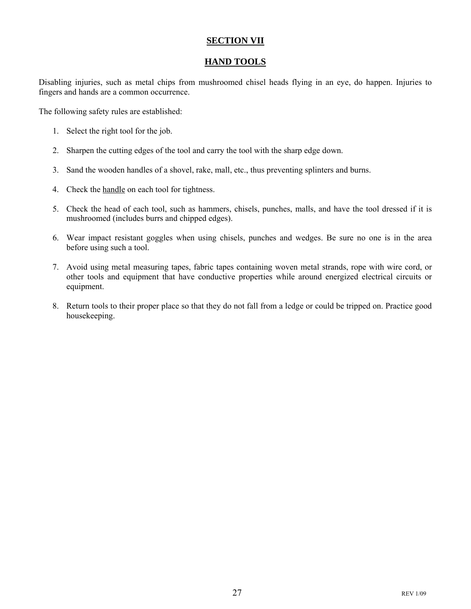### **SECTION VII**

### **HAND TOOLS**

Disabling injuries, such as metal chips from mushroomed chisel heads flying in an eye, do happen. Injuries to fingers and hands are a common occurrence.

The following safety rules are established:

- 1. Select the right tool for the job.
- 2. Sharpen the cutting edges of the tool and carry the tool with the sharp edge down.
- 3. Sand the wooden handles of a shovel, rake, mall, etc., thus preventing splinters and burns.
- 4. Check the handle on each tool for tightness.
- 5. Check the head of each tool, such as hammers, chisels, punches, malls, and have the tool dressed if it is mushroomed (includes burrs and chipped edges).
- 6. Wear impact resistant goggles when using chisels, punches and wedges. Be sure no one is in the area before using such a tool.
- 7. Avoid using metal measuring tapes, fabric tapes containing woven metal strands, rope with wire cord, or other tools and equipment that have conductive properties while around energized electrical circuits or equipment.
- 8. Return tools to their proper place so that they do not fall from a ledge or could be tripped on. Practice good housekeeping.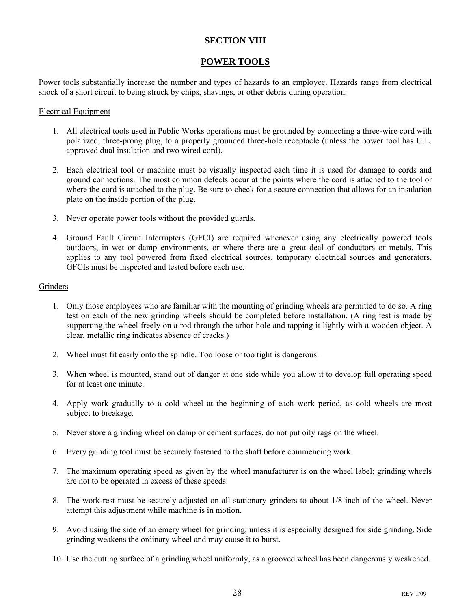### **SECTION VIII**

### **POWER TOOLS**

Power tools substantially increase the number and types of hazards to an employee. Hazards range from electrical shock of a short circuit to being struck by chips, shavings, or other debris during operation.

#### Electrical Equipment

- 1. All electrical tools used in Public Works operations must be grounded by connecting a three-wire cord with polarized, three-prong plug, to a properly grounded three-hole receptacle (unless the power tool has U.L. approved dual insulation and two wired cord).
- 2. Each electrical tool or machine must be visually inspected each time it is used for damage to cords and ground connections. The most common defects occur at the points where the cord is attached to the tool or where the cord is attached to the plug. Be sure to check for a secure connection that allows for an insulation plate on the inside portion of the plug.
- 3. Never operate power tools without the provided guards.
- 4. Ground Fault Circuit Interrupters (GFCI) are required whenever using any electrically powered tools outdoors, in wet or damp environments, or where there are a great deal of conductors or metals. This applies to any tool powered from fixed electrical sources, temporary electrical sources and generators. GFCIs must be inspected and tested before each use.

### **Grinders**

- 1. Only those employees who are familiar with the mounting of grinding wheels are permitted to do so. A ring test on each of the new grinding wheels should be completed before installation. (A ring test is made by supporting the wheel freely on a rod through the arbor hole and tapping it lightly with a wooden object. A clear, metallic ring indicates absence of cracks.)
- 2. Wheel must fit easily onto the spindle. Too loose or too tight is dangerous.
- 3. When wheel is mounted, stand out of danger at one side while you allow it to develop full operating speed for at least one minute.
- 4. Apply work gradually to a cold wheel at the beginning of each work period, as cold wheels are most subject to breakage.
- 5. Never store a grinding wheel on damp or cement surfaces, do not put oily rags on the wheel.
- 6. Every grinding tool must be securely fastened to the shaft before commencing work.
- 7. The maximum operating speed as given by the wheel manufacturer is on the wheel label; grinding wheels are not to be operated in excess of these speeds.
- 8. The work-rest must be securely adjusted on all stationary grinders to about 1/8 inch of the wheel. Never attempt this adjustment while machine is in motion.
- 9. Avoid using the side of an emery wheel for grinding, unless it is especially designed for side grinding. Side grinding weakens the ordinary wheel and may cause it to burst.
- 10. Use the cutting surface of a grinding wheel uniformly, as a grooved wheel has been dangerously weakened.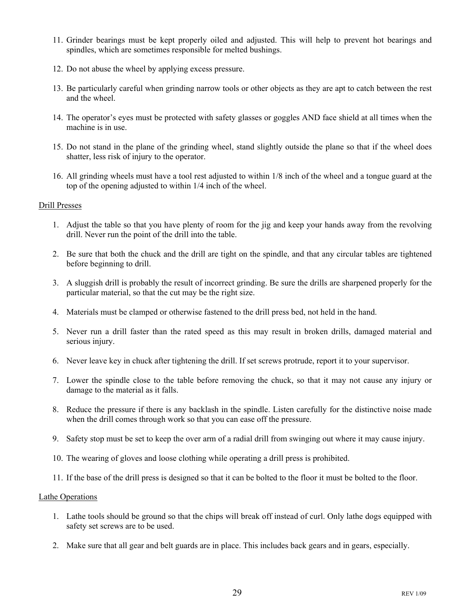- 11. Grinder bearings must be kept properly oiled and adjusted. This will help to prevent hot bearings and spindles, which are sometimes responsible for melted bushings.
- 12. Do not abuse the wheel by applying excess pressure.
- 13. Be particularly careful when grinding narrow tools or other objects as they are apt to catch between the rest and the wheel.
- 14. The operator's eyes must be protected with safety glasses or goggles AND face shield at all times when the machine is in use.
- 15. Do not stand in the plane of the grinding wheel, stand slightly outside the plane so that if the wheel does shatter, less risk of injury to the operator.
- 16. All grinding wheels must have a tool rest adjusted to within 1/8 inch of the wheel and a tongue guard at the top of the opening adjusted to within 1/4 inch of the wheel.

#### Drill Presses

- 1. Adjust the table so that you have plenty of room for the jig and keep your hands away from the revolving drill. Never run the point of the drill into the table.
- 2. Be sure that both the chuck and the drill are tight on the spindle, and that any circular tables are tightened before beginning to drill.
- 3. A sluggish drill is probably the result of incorrect grinding. Be sure the drills are sharpened properly for the particular material, so that the cut may be the right size.
- 4. Materials must be clamped or otherwise fastened to the drill press bed, not held in the hand.
- 5. Never run a drill faster than the rated speed as this may result in broken drills, damaged material and serious injury.
- 6. Never leave key in chuck after tightening the drill. If set screws protrude, report it to your supervisor.
- 7. Lower the spindle close to the table before removing the chuck, so that it may not cause any injury or damage to the material as it falls.
- 8. Reduce the pressure if there is any backlash in the spindle. Listen carefully for the distinctive noise made when the drill comes through work so that you can ease off the pressure.
- 9. Safety stop must be set to keep the over arm of a radial drill from swinging out where it may cause injury.
- 10. The wearing of gloves and loose clothing while operating a drill press is prohibited.
- 11. If the base of the drill press is designed so that it can be bolted to the floor it must be bolted to the floor.

### Lathe Operations

- 1. Lathe tools should be ground so that the chips will break off instead of curl. Only lathe dogs equipped with safety set screws are to be used.
- 2. Make sure that all gear and belt guards are in place. This includes back gears and in gears, especially.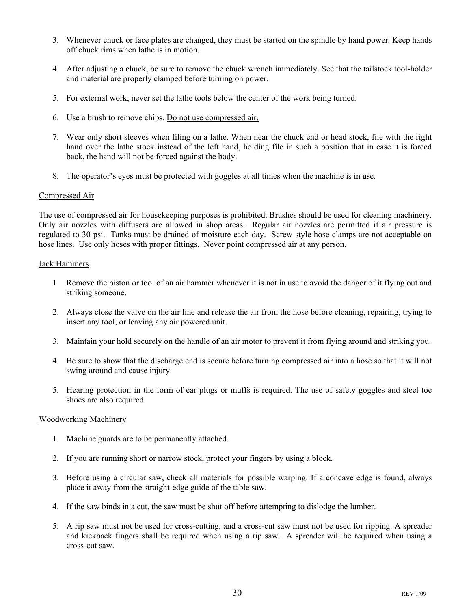- 3. Whenever chuck or face plates are changed, they must be started on the spindle by hand power. Keep hands off chuck rims when lathe is in motion.
- 4. After adjusting a chuck, be sure to remove the chuck wrench immediately. See that the tailstock tool-holder and material are properly clamped before turning on power.
- 5. For external work, never set the lathe tools below the center of the work being turned.
- 6. Use a brush to remove chips. Do not use compressed air.
- 7. Wear only short sleeves when filing on a lathe. When near the chuck end or head stock, file with the right hand over the lathe stock instead of the left hand, holding file in such a position that in case it is forced back, the hand will not be forced against the body.
- 8. The operator's eyes must be protected with goggles at all times when the machine is in use.

### Compressed Air

The use of compressed air for housekeeping purposes is prohibited. Brushes should be used for cleaning machinery. Only air nozzles with diffusers are allowed in shop areas. Regular air nozzles are permitted if air pressure is regulated to 30 psi. Tanks must be drained of moisture each day. Screw style hose clamps are not acceptable on hose lines. Use only hoses with proper fittings. Never point compressed air at any person.

#### Jack Hammers

- 1. Remove the piston or tool of an air hammer whenever it is not in use to avoid the danger of it flying out and striking someone.
- 2. Always close the valve on the air line and release the air from the hose before cleaning, repairing, trying to insert any tool, or leaving any air powered unit.
- 3. Maintain your hold securely on the handle of an air motor to prevent it from flying around and striking you.
- 4. Be sure to show that the discharge end is secure before turning compressed air into a hose so that it will not swing around and cause injury.
- 5. Hearing protection in the form of ear plugs or muffs is required. The use of safety goggles and steel toe shoes are also required.

### Woodworking Machinery

- 1. Machine guards are to be permanently attached.
- 2. If you are running short or narrow stock, protect your fingers by using a block.
- 3. Before using a circular saw, check all materials for possible warping. If a concave edge is found, always place it away from the straight-edge guide of the table saw.
- 4. If the saw binds in a cut, the saw must be shut off before attempting to dislodge the lumber.
- 5. A rip saw must not be used for cross-cutting, and a cross-cut saw must not be used for ripping. A spreader and kickback fingers shall be required when using a rip saw. A spreader will be required when using a cross-cut saw.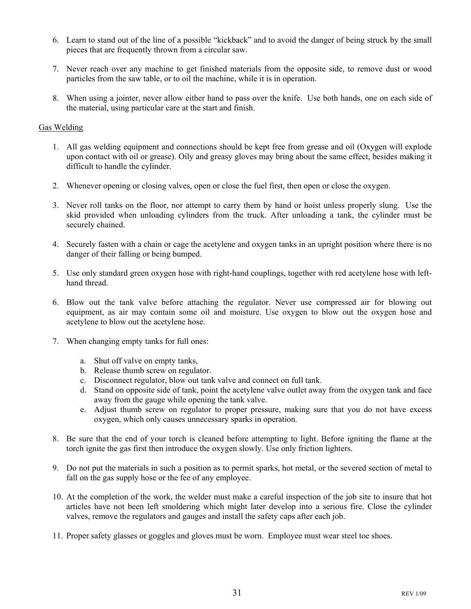- 6. Learn to stand out of the line of a possible "kickback" and to avoid the danger of being struck by the small pieces that are frequently thrown from a circular saw.
- 7. Never reach over any machine to get finished materials from the opposite side, to remove dust or wood particles from the saw table, or to oil the machine, while it is in operation.
- 8. When using a jointer, never allow either hand to pass over the knife. Use both hands, one on each side of the material, using particular care at the start and finish.

### Gas Welding

- 1. All gas welding equipment and connections should be kept free from grease and oil (Oxygen will explode upon contact with oil or grease). Oily and greasy gloves may bring about the same effect, besides making it difficult to handle the cylinder.
- 2. Whenever opening or closing valves, open or close the fuel first, then open or close the oxygen.
- 3. Never roll tanks on the floor, nor attempt to carry them by hand or hoist unless properly slung. Use the skid provided when unloading cylinders from the truck. After unloading a tank, the cylinder must be securely chained.
- 4. Securely fasten with a chain or cage the acetylene and oxygen tanks in an upright position where there is no danger of their falling or being bumped.
- 5. Use only standard green oxygen hose with right-hand couplings, together with red acetylene hose with lefthand thread.
- 6. Blow out the tank valve before attaching the regulator. Never use compressed air for blowing out equipment, as air may contain some oil and moisture. Use oxygen to blow out the oxygen hose and acetylene to blow out the acetylene hose.
- 7. When changing empty tanks for full ones:
	- a. Shut off valve on empty tanks,
	- b. Release thumb screw on regulator.
	- c. Disconnect regulator, blow out tank valve and connect on full tank.
	- d. Stand on opposite side of tank, point the acetylene valve outlet away from the oxygen tank and face away from the gauge while opening the tank valve.
	- e. Adjust thumb screw on regulator to proper pressure, making sure that you do not have excess oxygen, which only causes unnecessary sparks in operation.
- 8. Be sure that the end of your torch is cleaned before attempting to light. Before igniting the flame at the torch ignite the gas first then introduce the oxygen slowly. Use only friction lighters.
- 9. Do not put the materials in such a position as to permit sparks, hot metal, or the severed section of metal to fall on the gas supply hose or the fee of any employee.
- 10. At the completion of the work, the welder must make a careful inspection of the job site to insure that hot articles have not been left smoldering which might later develop into a serious fire. Close the cylinder valves, remove the regulators and gauges and install the safety caps after each job.
- 11. Proper safety glasses or goggles and gloves must be worn. Employee must wear steel toe shoes.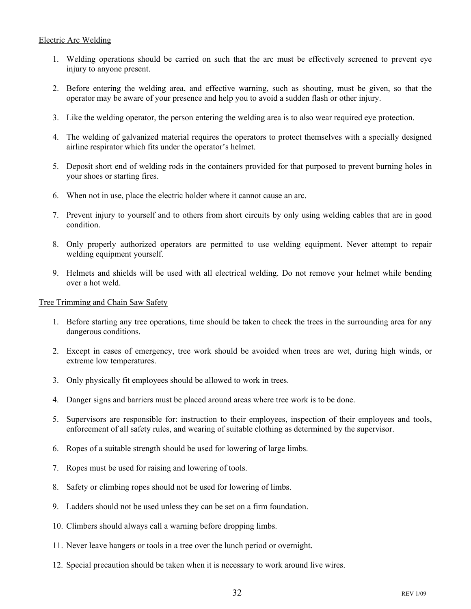### Electric Arc Welding

- 1. Welding operations should be carried on such that the arc must be effectively screened to prevent eye injury to anyone present.
- 2. Before entering the welding area, and effective warning, such as shouting, must be given, so that the operator may be aware of your presence and help you to avoid a sudden flash or other injury.
- 3. Like the welding operator, the person entering the welding area is to also wear required eye protection.
- 4. The welding of galvanized material requires the operators to protect themselves with a specially designed airline respirator which fits under the operator's helmet.
- 5. Deposit short end of welding rods in the containers provided for that purposed to prevent burning holes in your shoes or starting fires.
- 6. When not in use, place the electric holder where it cannot cause an arc.
- 7. Prevent injury to yourself and to others from short circuits by only using welding cables that are in good condition.
- 8. Only properly authorized operators are permitted to use welding equipment. Never attempt to repair welding equipment yourself.
- 9. Helmets and shields will be used with all electrical welding. Do not remove your helmet while bending over a hot weld.

Tree Trimming and Chain Saw Safety

- 1. Before starting any tree operations, time should be taken to check the trees in the surrounding area for any dangerous conditions.
- 2. Except in cases of emergency, tree work should be avoided when trees are wet, during high winds, or extreme low temperatures.
- 3. Only physically fit employees should be allowed to work in trees.
- 4. Danger signs and barriers must be placed around areas where tree work is to be done.
- 5. Supervisors are responsible for: instruction to their employees, inspection of their employees and tools, enforcement of all safety rules, and wearing of suitable clothing as determined by the supervisor.
- 6. Ropes of a suitable strength should be used for lowering of large limbs.
- 7. Ropes must be used for raising and lowering of tools.
- 8. Safety or climbing ropes should not be used for lowering of limbs.
- 9. Ladders should not be used unless they can be set on a firm foundation.
- 10. Climbers should always call a warning before dropping limbs.
- 11. Never leave hangers or tools in a tree over the lunch period or overnight.
- 12. Special precaution should be taken when it is necessary to work around live wires.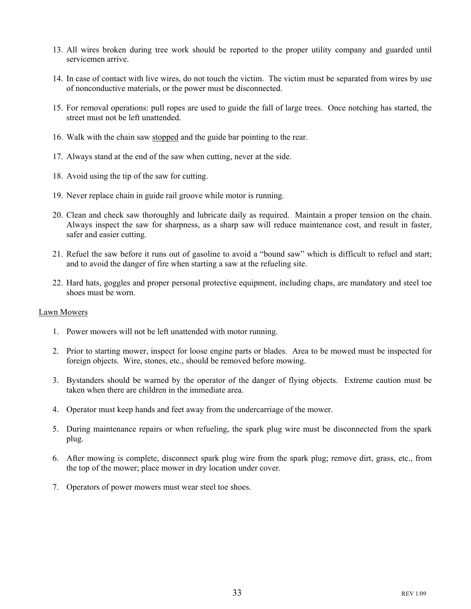- 13. All wires broken during tree work should be reported to the proper utility company and guarded until servicemen arrive.
- 14. In case of contact with live wires, do not touch the victim. The victim must be separated from wires by use of nonconductive materials, or the power must be disconnected.
- 15. For removal operations: pull ropes are used to guide the fall of large trees. Once notching has started, the street must not be left unattended.
- 16. Walk with the chain saw stopped and the guide bar pointing to the rear.
- 17. Always stand at the end of the saw when cutting, never at the side.
- 18. Avoid using the tip of the saw for cutting.
- 19. Never replace chain in guide rail groove while motor is running.
- 20. Clean and check saw thoroughly and lubricate daily as required. Maintain a proper tension on the chain. Always inspect the saw for sharpness, as a sharp saw will reduce maintenance cost, and result in faster, safer and easier cutting.
- 21. Refuel the saw before it runs out of gasoline to avoid a "bound saw" which is difficult to refuel and start; and to avoid the danger of fire when starting a saw at the refueling site.
- 22. Hard hats, goggles and proper personal protective equipment, including chaps, are mandatory and steel toe shoes must be worn.

#### Lawn Mowers

- 1. Power mowers will not be left unattended with motor running.
- 2. Prior to starting mower, inspect for loose engine parts or blades. Area to be mowed must be inspected for foreign objects. Wire, stones, etc., should be removed before mowing.
- 3. Bystanders should be warned by the operator of the danger of flying objects. Extreme caution must be taken when there are children in the immediate area.
- 4. Operator must keep hands and feet away from the undercarriage of the mower.
- 5. During maintenance repairs or when refueling, the spark plug wire must be disconnected from the spark plug.
- 6. After mowing is complete, disconnect spark plug wire from the spark plug; remove dirt, grass, etc., from the top of the mower; place mower in dry location under cover.
- 7. Operators of power mowers must wear steel toe shoes.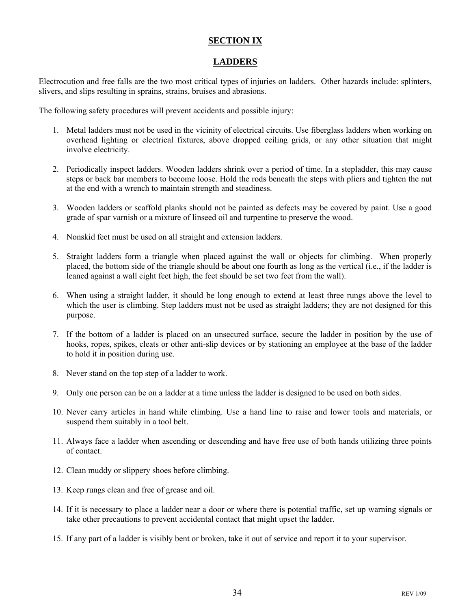### **SECTION IX**

### **LADDERS**

Electrocution and free falls are the two most critical types of injuries on ladders. Other hazards include: splinters, slivers, and slips resulting in sprains, strains, bruises and abrasions.

The following safety procedures will prevent accidents and possible injury:

- 1. Metal ladders must not be used in the vicinity of electrical circuits. Use fiberglass ladders when working on overhead lighting or electrical fixtures, above dropped ceiling grids, or any other situation that might involve electricity.
- 2. Periodically inspect ladders. Wooden ladders shrink over a period of time. In a stepladder, this may cause steps or back bar members to become loose. Hold the rods beneath the steps with pliers and tighten the nut at the end with a wrench to maintain strength and steadiness.
- 3. Wooden ladders or scaffold planks should not be painted as defects may be covered by paint. Use a good grade of spar varnish or a mixture of linseed oil and turpentine to preserve the wood.
- 4. Nonskid feet must be used on all straight and extension ladders.
- 5. Straight ladders form a triangle when placed against the wall or objects for climbing. When properly placed, the bottom side of the triangle should be about one fourth as long as the vertical (i.e., if the ladder is leaned against a wall eight feet high, the feet should be set two feet from the wall).
- 6. When using a straight ladder, it should be long enough to extend at least three rungs above the level to which the user is climbing. Step ladders must not be used as straight ladders; they are not designed for this purpose.
- 7. If the bottom of a ladder is placed on an unsecured surface, secure the ladder in position by the use of hooks, ropes, spikes, cleats or other anti-slip devices or by stationing an employee at the base of the ladder to hold it in position during use.
- 8. Never stand on the top step of a ladder to work.
- 9. Only one person can be on a ladder at a time unless the ladder is designed to be used on both sides.
- 10. Never carry articles in hand while climbing. Use a hand line to raise and lower tools and materials, or suspend them suitably in a tool belt.
- 11. Always face a ladder when ascending or descending and have free use of both hands utilizing three points of contact.
- 12. Clean muddy or slippery shoes before climbing.
- 13. Keep rungs clean and free of grease and oil.
- 14. If it is necessary to place a ladder near a door or where there is potential traffic, set up warning signals or take other precautions to prevent accidental contact that might upset the ladder.
- 15. If any part of a ladder is visibly bent or broken, take it out of service and report it to your supervisor.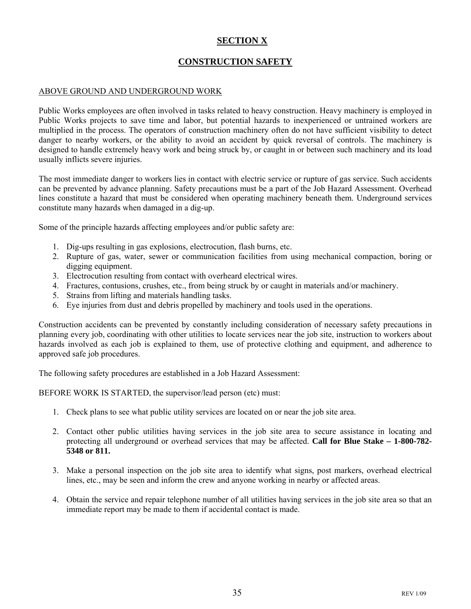### **SECTION X**

### **CONSTRUCTION SAFETY**

### ABOVE GROUND AND UNDERGROUND WORK

Public Works employees are often involved in tasks related to heavy construction. Heavy machinery is employed in Public Works projects to save time and labor, but potential hazards to inexperienced or untrained workers are multiplied in the process. The operators of construction machinery often do not have sufficient visibility to detect danger to nearby workers, or the ability to avoid an accident by quick reversal of controls. The machinery is designed to handle extremely heavy work and being struck by, or caught in or between such machinery and its load usually inflicts severe injuries.

The most immediate danger to workers lies in contact with electric service or rupture of gas service. Such accidents can be prevented by advance planning. Safety precautions must be a part of the Job Hazard Assessment. Overhead lines constitute a hazard that must be considered when operating machinery beneath them. Underground services constitute many hazards when damaged in a dig-up.

Some of the principle hazards affecting employees and/or public safety are:

- 1. Dig-ups resulting in gas explosions, electrocution, flash burns, etc.
- 2. Rupture of gas, water, sewer or communication facilities from using mechanical compaction, boring or digging equipment.
- 3. Electrocution resulting from contact with overheard electrical wires.
- 4. Fractures, contusions, crushes, etc., from being struck by or caught in materials and/or machinery.
- 5. Strains from lifting and materials handling tasks.
- 6. Eye injuries from dust and debris propelled by machinery and tools used in the operations.

Construction accidents can be prevented by constantly including consideration of necessary safety precautions in planning every job, coordinating with other utilities to locate services near the job site, instruction to workers about hazards involved as each job is explained to them, use of protective clothing and equipment, and adherence to approved safe job procedures.

The following safety procedures are established in a Job Hazard Assessment:

BEFORE WORK IS STARTED, the supervisor/lead person (etc) must:

- 1. Check plans to see what public utility services are located on or near the job site area.
- 2. Contact other public utilities having services in the job site area to secure assistance in locating and protecting all underground or overhead services that may be affected. **Call for Blue Stake – 1-800-782- 5348 or 811.**
- 3. Make a personal inspection on the job site area to identify what signs, post markers, overhead electrical lines, etc., may be seen and inform the crew and anyone working in nearby or affected areas.
- 4. Obtain the service and repair telephone number of all utilities having services in the job site area so that an immediate report may be made to them if accidental contact is made.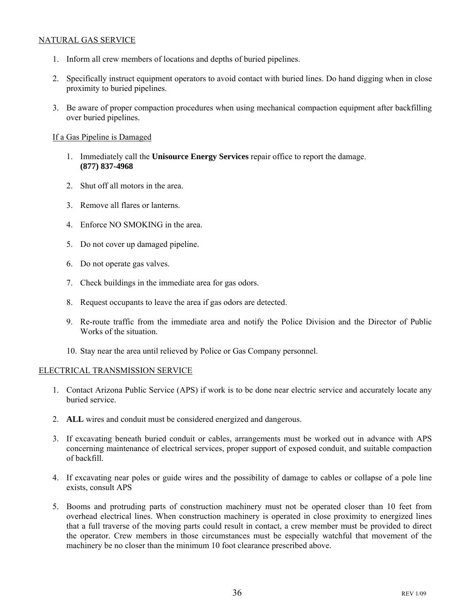### NATURAL GAS SERVICE

- 1. Inform all crew members of locations and depths of buried pipelines.
- 2. Specifically instruct equipment operators to avoid contact with buried lines. Do hand digging when in close proximity to buried pipelines.
- 3. Be aware of proper compaction procedures when using mechanical compaction equipment after backfilling over buried pipelines.

### If a Gas Pipeline is Damaged

- 1. Immediately call the **Unisource Energy Services** repair office to report the damage. **(877) 837-4968**
- 2. Shut off all motors in the area.
- 3. Remove all flares or lanterns.
- 4. Enforce NO SMOKING in the area.
- 5. Do not cover up damaged pipeline.
- 6. Do not operate gas valves.
- 7. Check buildings in the immediate area for gas odors.
- 8. Request occupants to leave the area if gas odors are detected.
- 9. Re-route traffic from the immediate area and notify the Police Division and the Director of Public Works of the situation.
- 10. Stay near the area until relieved by Police or Gas Company personnel.

### ELECTRICAL TRANSMISSION SERVICE

- 1. Contact Arizona Public Service (APS) if work is to be done near electric service and accurately locate any buried service.
- 2. **ALL** wires and conduit must be considered energized and dangerous.
- 3. If excavating beneath buried conduit or cables, arrangements must be worked out in advance with APS concerning maintenance of electrical services, proper support of exposed conduit, and suitable compaction of backfill.
- 4. If excavating near poles or guide wires and the possibility of damage to cables or collapse of a pole line exists, consult APS
- 5. Booms and protruding parts of construction machinery must not be operated closer than 10 feet from overhead electrical lines. When construction machinery is operated in close proximity to energized lines that a full traverse of the moving parts could result in contact, a crew member must be provided to direct the operator. Crew members in those circumstances must be especially watchful that movement of the machinery be no closer than the minimum 10 foot clearance prescribed above.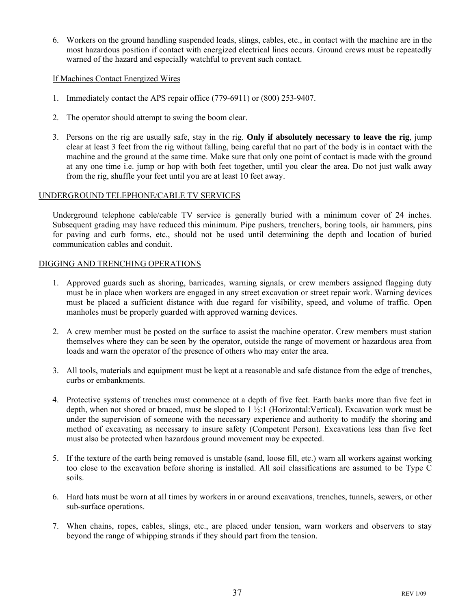6. Workers on the ground handling suspended loads, slings, cables, etc., in contact with the machine are in the most hazardous position if contact with energized electrical lines occurs. Ground crews must be repeatedly warned of the hazard and especially watchful to prevent such contact.

### If Machines Contact Energized Wires

- 1. Immediately contact the APS repair office (779-6911) or (800) 253-9407.
- 2. The operator should attempt to swing the boom clear.
- 3. Persons on the rig are usually safe, stay in the rig. **Only if absolutely necessary to leave the rig**, jump clear at least 3 feet from the rig without falling, being careful that no part of the body is in contact with the machine and the ground at the same time. Make sure that only one point of contact is made with the ground at any one time i.e. jump or hop with both feet together, until you clear the area. Do not just walk away from the rig, shuffle your feet until you are at least 10 feet away.

### UNDERGROUND TELEPHONE/CABLE TV SERVICES

Underground telephone cable/cable TV service is generally buried with a minimum cover of 24 inches. Subsequent grading may have reduced this minimum. Pipe pushers, trenchers, boring tools, air hammers, pins for paving and curb forms, etc., should not be used until determining the depth and location of buried communication cables and conduit.

### DIGGING AND TRENCHING OPERATIONS

- 1. Approved guards such as shoring, barricades, warning signals, or crew members assigned flagging duty must be in place when workers are engaged in any street excavation or street repair work. Warning devices must be placed a sufficient distance with due regard for visibility, speed, and volume of traffic. Open manholes must be properly guarded with approved warning devices.
- 2. A crew member must be posted on the surface to assist the machine operator. Crew members must station themselves where they can be seen by the operator, outside the range of movement or hazardous area from loads and warn the operator of the presence of others who may enter the area.
- 3. All tools, materials and equipment must be kept at a reasonable and safe distance from the edge of trenches, curbs or embankments.
- 4. Protective systems of trenches must commence at a depth of five feet. Earth banks more than five feet in depth, when not shored or braced, must be sloped to 1 ½:1 (Horizontal:Vertical). Excavation work must be under the supervision of someone with the necessary experience and authority to modify the shoring and method of excavating as necessary to insure safety (Competent Person). Excavations less than five feet must also be protected when hazardous ground movement may be expected.
- 5. If the texture of the earth being removed is unstable (sand, loose fill, etc.) warn all workers against working too close to the excavation before shoring is installed. All soil classifications are assumed to be Type C soils.
- 6. Hard hats must be worn at all times by workers in or around excavations, trenches, tunnels, sewers, or other sub-surface operations.
- 7. When chains, ropes, cables, slings, etc., are placed under tension, warn workers and observers to stay beyond the range of whipping strands if they should part from the tension.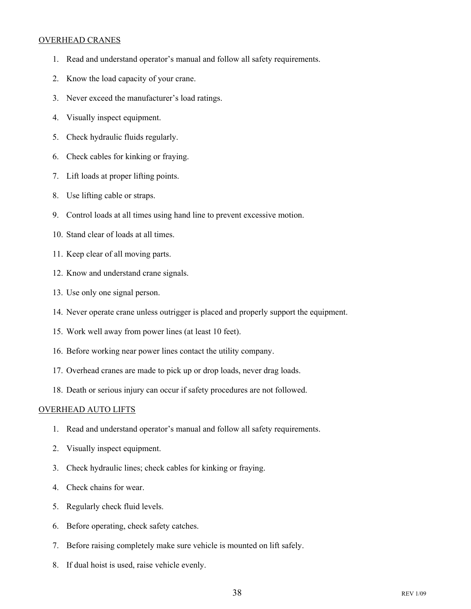### OVERHEAD CRANES

- 1. Read and understand operator's manual and follow all safety requirements.
- 2. Know the load capacity of your crane.
- 3. Never exceed the manufacturer's load ratings.
- 4. Visually inspect equipment.
- 5. Check hydraulic fluids regularly.
- 6. Check cables for kinking or fraying.
- 7. Lift loads at proper lifting points.
- 8. Use lifting cable or straps.
- 9. Control loads at all times using hand line to prevent excessive motion.
- 10. Stand clear of loads at all times.
- 11. Keep clear of all moving parts.
- 12. Know and understand crane signals.
- 13. Use only one signal person.
- 14. Never operate crane unless outrigger is placed and properly support the equipment.
- 15. Work well away from power lines (at least 10 feet).
- 16. Before working near power lines contact the utility company.
- 17. Overhead cranes are made to pick up or drop loads, never drag loads.
- 18. Death or serious injury can occur if safety procedures are not followed.

### OVERHEAD AUTO LIFTS

- 1. Read and understand operator's manual and follow all safety requirements.
- 2. Visually inspect equipment.
- 3. Check hydraulic lines; check cables for kinking or fraying.
- 4. Check chains for wear.
- 5. Regularly check fluid levels.
- 6. Before operating, check safety catches.
- 7. Before raising completely make sure vehicle is mounted on lift safely.
- 8. If dual hoist is used, raise vehicle evenly.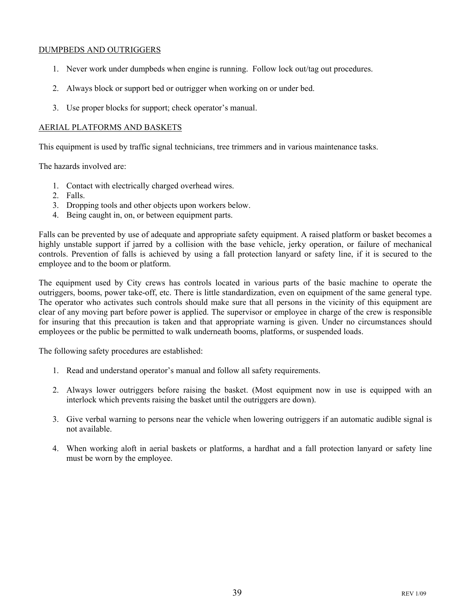### DUMPBEDS AND OUTRIGGERS

- 1. Never work under dumpbeds when engine is running. Follow lock out/tag out procedures.
- 2. Always block or support bed or outrigger when working on or under bed.
- 3. Use proper blocks for support; check operator's manual.

### AERIAL PLATFORMS AND BASKETS

This equipment is used by traffic signal technicians, tree trimmers and in various maintenance tasks.

The hazards involved are:

- 1. Contact with electrically charged overhead wires.
- 2. Falls.
- 3. Dropping tools and other objects upon workers below.
- 4. Being caught in, on, or between equipment parts.

Falls can be prevented by use of adequate and appropriate safety equipment. A raised platform or basket becomes a highly unstable support if jarred by a collision with the base vehicle, jerky operation, or failure of mechanical controls. Prevention of falls is achieved by using a fall protection lanyard or safety line, if it is secured to the employee and to the boom or platform.

The equipment used by City crews has controls located in various parts of the basic machine to operate the outriggers, booms, power take-off, etc. There is little standardization, even on equipment of the same general type. The operator who activates such controls should make sure that all persons in the vicinity of this equipment are clear of any moving part before power is applied. The supervisor or employee in charge of the crew is responsible for insuring that this precaution is taken and that appropriate warning is given. Under no circumstances should employees or the public be permitted to walk underneath booms, platforms, or suspended loads.

The following safety procedures are established:

- 1. Read and understand operator's manual and follow all safety requirements.
- 2. Always lower outriggers before raising the basket. (Most equipment now in use is equipped with an interlock which prevents raising the basket until the outriggers are down).
- 3. Give verbal warning to persons near the vehicle when lowering outriggers if an automatic audible signal is not available.
- 4. When working aloft in aerial baskets or platforms, a hardhat and a fall protection lanyard or safety line must be worn by the employee.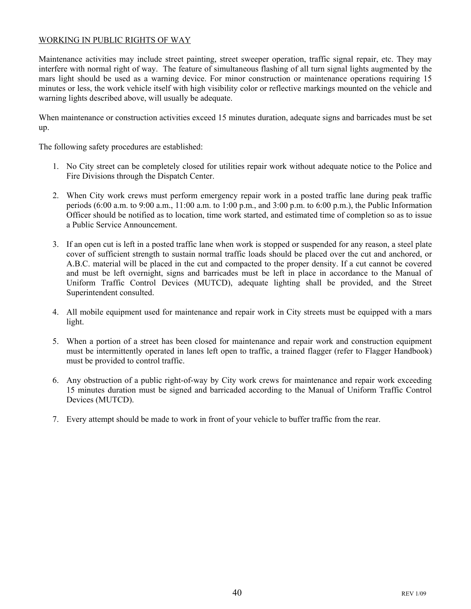### WORKING IN PUBLIC RIGHTS OF WAY

Maintenance activities may include street painting, street sweeper operation, traffic signal repair, etc. They may interfere with normal right of way. The feature of simultaneous flashing of all turn signal lights augmented by the mars light should be used as a warning device. For minor construction or maintenance operations requiring 15 minutes or less, the work vehicle itself with high visibility color or reflective markings mounted on the vehicle and warning lights described above, will usually be adequate.

When maintenance or construction activities exceed 15 minutes duration, adequate signs and barricades must be set up.

The following safety procedures are established:

- 1. No City street can be completely closed for utilities repair work without adequate notice to the Police and Fire Divisions through the Dispatch Center.
- 2. When City work crews must perform emergency repair work in a posted traffic lane during peak traffic periods (6:00 a.m. to 9:00 a.m., 11:00 a.m. to 1:00 p.m., and 3:00 p.m. to 6:00 p.m.), the Public Information Officer should be notified as to location, time work started, and estimated time of completion so as to issue a Public Service Announcement.
- 3. If an open cut is left in a posted traffic lane when work is stopped or suspended for any reason, a steel plate cover of sufficient strength to sustain normal traffic loads should be placed over the cut and anchored, or A.B.C. material will be placed in the cut and compacted to the proper density. If a cut cannot be covered and must be left overnight, signs and barricades must be left in place in accordance to the Manual of Uniform Traffic Control Devices (MUTCD), adequate lighting shall be provided, and the Street Superintendent consulted.
- 4. All mobile equipment used for maintenance and repair work in City streets must be equipped with a mars light.
- 5. When a portion of a street has been closed for maintenance and repair work and construction equipment must be intermittently operated in lanes left open to traffic, a trained flagger (refer to Flagger Handbook) must be provided to control traffic.
- 6. Any obstruction of a public right-of-way by City work crews for maintenance and repair work exceeding 15 minutes duration must be signed and barricaded according to the Manual of Uniform Traffic Control Devices (MUTCD).
- 7. Every attempt should be made to work in front of your vehicle to buffer traffic from the rear.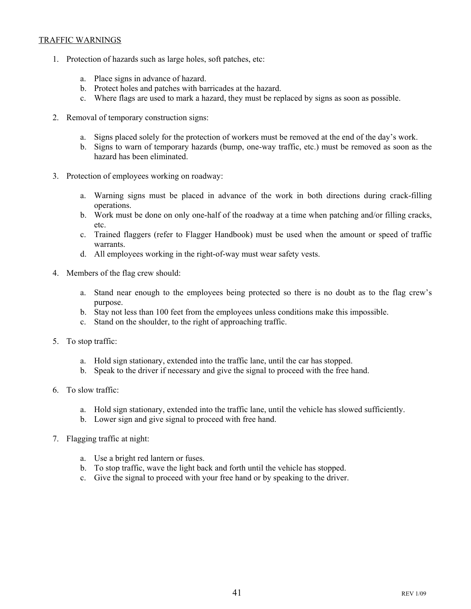### TRAFFIC WARNINGS

- 1. Protection of hazards such as large holes, soft patches, etc:
	- a. Place signs in advance of hazard.
	- b. Protect holes and patches with barricades at the hazard.
	- c. Where flags are used to mark a hazard, they must be replaced by signs as soon as possible.
- 2. Removal of temporary construction signs:
	- a. Signs placed solely for the protection of workers must be removed at the end of the day's work.
	- b. Signs to warn of temporary hazards (bump, one-way traffic, etc.) must be removed as soon as the hazard has been eliminated.
- 3. Protection of employees working on roadway:
	- a. Warning signs must be placed in advance of the work in both directions during crack-filling operations.
	- b. Work must be done on only one-half of the roadway at a time when patching and/or filling cracks, etc.
	- c. Trained flaggers (refer to Flagger Handbook) must be used when the amount or speed of traffic warrants.
	- d. All employees working in the right-of-way must wear safety vests.
- 4. Members of the flag crew should:
	- a. Stand near enough to the employees being protected so there is no doubt as to the flag crew's purpose.
	- b. Stay not less than 100 feet from the employees unless conditions make this impossible.
	- c. Stand on the shoulder, to the right of approaching traffic.
- 5. To stop traffic:
	- a. Hold sign stationary, extended into the traffic lane, until the car has stopped.
	- b. Speak to the driver if necessary and give the signal to proceed with the free hand.
- 6. To slow traffic:
	- a. Hold sign stationary, extended into the traffic lane, until the vehicle has slowed sufficiently.
	- b. Lower sign and give signal to proceed with free hand.
- 7. Flagging traffic at night:
	- a. Use a bright red lantern or fuses.
	- b. To stop traffic, wave the light back and forth until the vehicle has stopped.
	- c. Give the signal to proceed with your free hand or by speaking to the driver.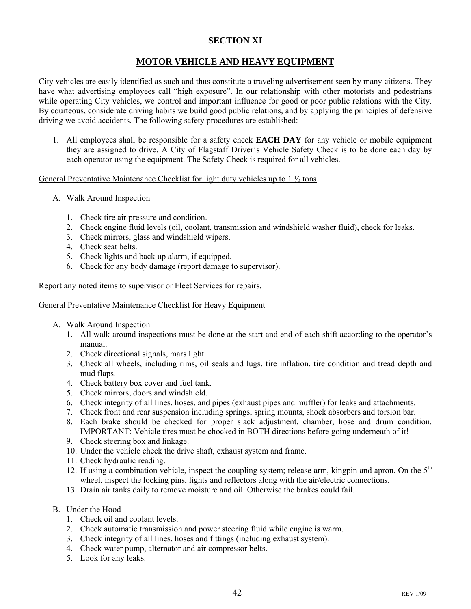### **SECTION XI**

### **MOTOR VEHICLE AND HEAVY EQUIPMENT**

City vehicles are easily identified as such and thus constitute a traveling advertisement seen by many citizens. They have what advertising employees call "high exposure". In our relationship with other motorists and pedestrians while operating City vehicles, we control and important influence for good or poor public relations with the City. By courteous, considerate driving habits we build good public relations, and by applying the principles of defensive driving we avoid accidents. The following safety procedures are established:

1. All employees shall be responsible for a safety check **EACH DAY** for any vehicle or mobile equipment they are assigned to drive. A City of Flagstaff Driver's Vehicle Safety Check is to be done each day by each operator using the equipment. The Safety Check is required for all vehicles.

### General Preventative Maintenance Checklist for light duty vehicles up to 1 ½ tons

- A. Walk Around Inspection
	- 1. Check tire air pressure and condition.
	- 2. Check engine fluid levels (oil, coolant, transmission and windshield washer fluid), check for leaks.
	- 3. Check mirrors, glass and windshield wipers.
	- 4. Check seat belts.
	- 5. Check lights and back up alarm, if equipped.
	- 6. Check for any body damage (report damage to supervisor).

Report any noted items to supervisor or Fleet Services for repairs.

### General Preventative Maintenance Checklist for Heavy Equipment

- A. Walk Around Inspection
	- 1. All walk around inspections must be done at the start and end of each shift according to the operator's manual.
	- 2. Check directional signals, mars light.
	- 3. Check all wheels, including rims, oil seals and lugs, tire inflation, tire condition and tread depth and mud flaps.
	- 4. Check battery box cover and fuel tank.
	- 5. Check mirrors, doors and windshield.
	- 6. Check integrity of all lines, hoses, and pipes (exhaust pipes and muffler) for leaks and attachments.
	- 7. Check front and rear suspension including springs, spring mounts, shock absorbers and torsion bar.
	- 8. Each brake should be checked for proper slack adjustment, chamber, hose and drum condition. IMPORTANT: Vehicle tires must be chocked in BOTH directions before going underneath of it!
	- 9. Check steering box and linkage.
	- 10. Under the vehicle check the drive shaft, exhaust system and frame.
	- 11. Check hydraulic reading.
	- 12. If using a combination vehicle, inspect the coupling system; release arm, kingpin and apron. On the  $5<sup>th</sup>$ wheel, inspect the locking pins, lights and reflectors along with the air/electric connections.
	- 13. Drain air tanks daily to remove moisture and oil. Otherwise the brakes could fail.
- B. Under the Hood
	- 1. Check oil and coolant levels.
	- 2. Check automatic transmission and power steering fluid while engine is warm.
	- 3. Check integrity of all lines, hoses and fittings (including exhaust system).
	- 4. Check water pump, alternator and air compressor belts.
	- 5. Look for any leaks.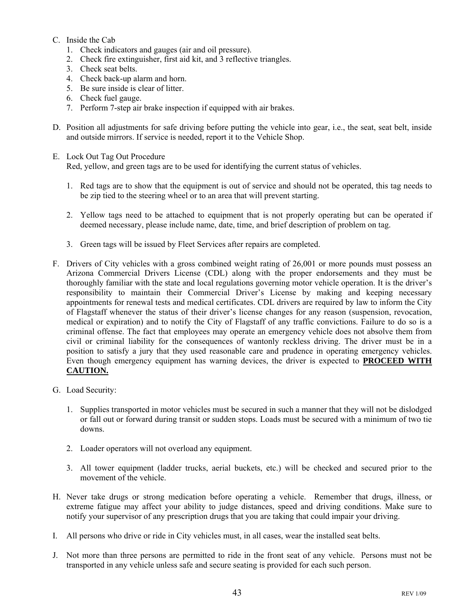### C. Inside the Cab

- 1. Check indicators and gauges (air and oil pressure).
- 2. Check fire extinguisher, first aid kit, and 3 reflective triangles.
- 3. Check seat belts.
- 4. Check back-up alarm and horn.
- 5. Be sure inside is clear of litter.
- 6. Check fuel gauge.
- 7. Perform 7-step air brake inspection if equipped with air brakes.
- D. Position all adjustments for safe driving before putting the vehicle into gear, i.e., the seat, seat belt, inside and outside mirrors. If service is needed, report it to the Vehicle Shop.
- E. Lock Out Tag Out Procedure Red, yellow, and green tags are to be used for identifying the current status of vehicles.
	- 1. Red tags are to show that the equipment is out of service and should not be operated, this tag needs to be zip tied to the steering wheel or to an area that will prevent starting.
	- 2. Yellow tags need to be attached to equipment that is not properly operating but can be operated if deemed necessary, please include name, date, time, and brief description of problem on tag.
	- 3. Green tags will be issued by Fleet Services after repairs are completed.
- F. Drivers of City vehicles with a gross combined weight rating of 26,001 or more pounds must possess an Arizona Commercial Drivers License (CDL) along with the proper endorsements and they must be thoroughly familiar with the state and local regulations governing motor vehicle operation. It is the driver's responsibility to maintain their Commercial Driver's License by making and keeping necessary appointments for renewal tests and medical certificates. CDL drivers are required by law to inform the City of Flagstaff whenever the status of their driver's license changes for any reason (suspension, revocation, medical or expiration) and to notify the City of Flagstaff of any traffic convictions. Failure to do so is a criminal offense. The fact that employees may operate an emergency vehicle does not absolve them from civil or criminal liability for the consequences of wantonly reckless driving. The driver must be in a position to satisfy a jury that they used reasonable care and prudence in operating emergency vehicles. Even though emergency equipment has warning devices, the driver is expected to **PROCEED WITH CAUTION.**
- G. Load Security:
	- 1. Supplies transported in motor vehicles must be secured in such a manner that they will not be dislodged or fall out or forward during transit or sudden stops. Loads must be secured with a minimum of two tie downs.
	- 2. Loader operators will not overload any equipment.
	- 3. All tower equipment (ladder trucks, aerial buckets, etc.) will be checked and secured prior to the movement of the vehicle.
- H. Never take drugs or strong medication before operating a vehicle. Remember that drugs, illness, or extreme fatigue may affect your ability to judge distances, speed and driving conditions. Make sure to notify your supervisor of any prescription drugs that you are taking that could impair your driving.
- I. All persons who drive or ride in City vehicles must, in all cases, wear the installed seat belts.
- J. Not more than three persons are permitted to ride in the front seat of any vehicle. Persons must not be transported in any vehicle unless safe and secure seating is provided for each such person.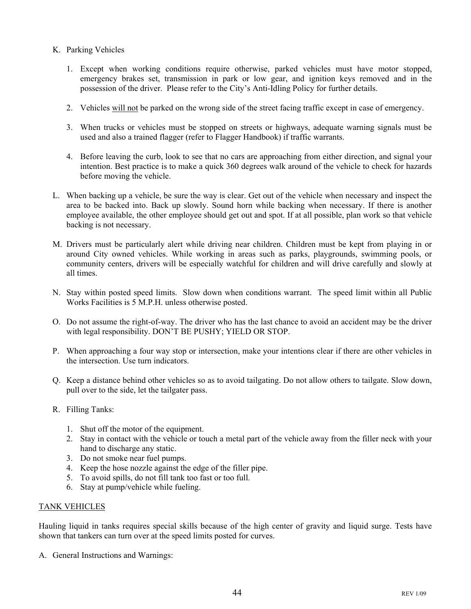- K. Parking Vehicles
	- 1. Except when working conditions require otherwise, parked vehicles must have motor stopped, emergency brakes set, transmission in park or low gear, and ignition keys removed and in the possession of the driver. Please refer to the City's Anti-Idling Policy for further details.
	- 2. Vehicles will not be parked on the wrong side of the street facing traffic except in case of emergency.
	- 3. When trucks or vehicles must be stopped on streets or highways, adequate warning signals must be used and also a trained flagger (refer to Flagger Handbook) if traffic warrants.
	- 4. Before leaving the curb, look to see that no cars are approaching from either direction, and signal your intention. Best practice is to make a quick 360 degrees walk around of the vehicle to check for hazards before moving the vehicle.
- L. When backing up a vehicle, be sure the way is clear. Get out of the vehicle when necessary and inspect the area to be backed into. Back up slowly. Sound horn while backing when necessary. If there is another employee available, the other employee should get out and spot. If at all possible, plan work so that vehicle backing is not necessary.
- M. Drivers must be particularly alert while driving near children. Children must be kept from playing in or around City owned vehicles. While working in areas such as parks, playgrounds, swimming pools, or community centers, drivers will be especially watchful for children and will drive carefully and slowly at all times.
- N. Stay within posted speed limits. Slow down when conditions warrant. The speed limit within all Public Works Facilities is 5 M.P.H. unless otherwise posted.
- O. Do not assume the right-of-way. The driver who has the last chance to avoid an accident may be the driver with legal responsibility. DON'T BE PUSHY; YIELD OR STOP.
- P. When approaching a four way stop or intersection, make your intentions clear if there are other vehicles in the intersection. Use turn indicators.
- Q. Keep a distance behind other vehicles so as to avoid tailgating. Do not allow others to tailgate. Slow down, pull over to the side, let the tailgater pass.
- R. Filling Tanks:
	- 1. Shut off the motor of the equipment.
	- 2. Stay in contact with the vehicle or touch a metal part of the vehicle away from the filler neck with your hand to discharge any static.
	- 3. Do not smoke near fuel pumps.
	- 4. Keep the hose nozzle against the edge of the filler pipe.
	- 5. To avoid spills, do not fill tank too fast or too full.
	- 6. Stay at pump/vehicle while fueling.

### TANK VEHICLES

Hauling liquid in tanks requires special skills because of the high center of gravity and liquid surge. Tests have shown that tankers can turn over at the speed limits posted for curves.

A. General Instructions and Warnings: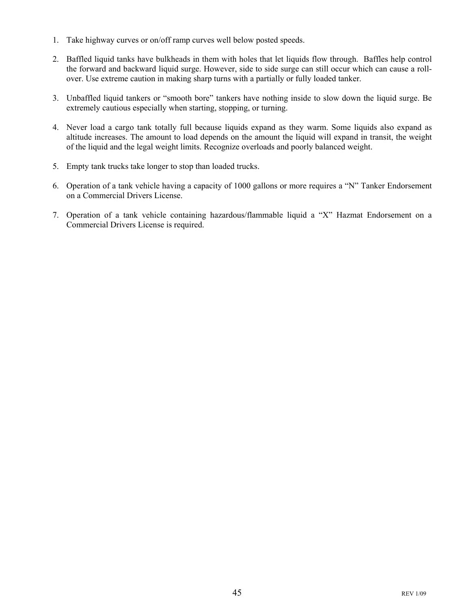- 1. Take highway curves or on/off ramp curves well below posted speeds.
- 2. Baffled liquid tanks have bulkheads in them with holes that let liquids flow through. Baffles help control the forward and backward liquid surge. However, side to side surge can still occur which can cause a rollover. Use extreme caution in making sharp turns with a partially or fully loaded tanker.
- 3. Unbaffled liquid tankers or "smooth bore" tankers have nothing inside to slow down the liquid surge. Be extremely cautious especially when starting, stopping, or turning.
- 4. Never load a cargo tank totally full because liquids expand as they warm. Some liquids also expand as altitude increases. The amount to load depends on the amount the liquid will expand in transit, the weight of the liquid and the legal weight limits. Recognize overloads and poorly balanced weight.
- 5. Empty tank trucks take longer to stop than loaded trucks.
- 6. Operation of a tank vehicle having a capacity of 1000 gallons or more requires a "N" Tanker Endorsement on a Commercial Drivers License.
- 7. Operation of a tank vehicle containing hazardous/flammable liquid a "X" Hazmat Endorsement on a Commercial Drivers License is required.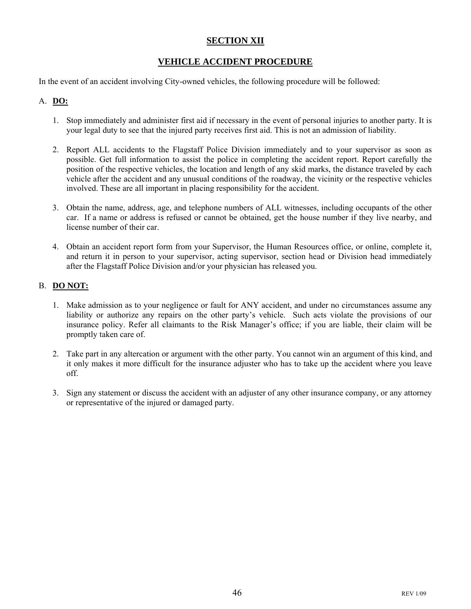### **SECTION XII**

### **VEHICLE ACCIDENT PROCEDURE**

In the event of an accident involving City-owned vehicles, the following procedure will be followed:

### A. **DO:**

- 1. Stop immediately and administer first aid if necessary in the event of personal injuries to another party. It is your legal duty to see that the injured party receives first aid. This is not an admission of liability.
- 2. Report ALL accidents to the Flagstaff Police Division immediately and to your supervisor as soon as possible. Get full information to assist the police in completing the accident report. Report carefully the position of the respective vehicles, the location and length of any skid marks, the distance traveled by each vehicle after the accident and any unusual conditions of the roadway, the vicinity or the respective vehicles involved. These are all important in placing responsibility for the accident.
- 3. Obtain the name, address, age, and telephone numbers of ALL witnesses, including occupants of the other car. If a name or address is refused or cannot be obtained, get the house number if they live nearby, and license number of their car.
- 4. Obtain an accident report form from your Supervisor, the Human Resources office, or online, complete it, and return it in person to your supervisor, acting supervisor, section head or Division head immediately after the Flagstaff Police Division and/or your physician has released you.

### B. **DO NOT:**

- 1. Make admission as to your negligence or fault for ANY accident, and under no circumstances assume any liability or authorize any repairs on the other party's vehicle. Such acts violate the provisions of our insurance policy. Refer all claimants to the Risk Manager's office; if you are liable, their claim will be promptly taken care of.
- 2. Take part in any altercation or argument with the other party. You cannot win an argument of this kind, and it only makes it more difficult for the insurance adjuster who has to take up the accident where you leave off.
- 3. Sign any statement or discuss the accident with an adjuster of any other insurance company, or any attorney or representative of the injured or damaged party.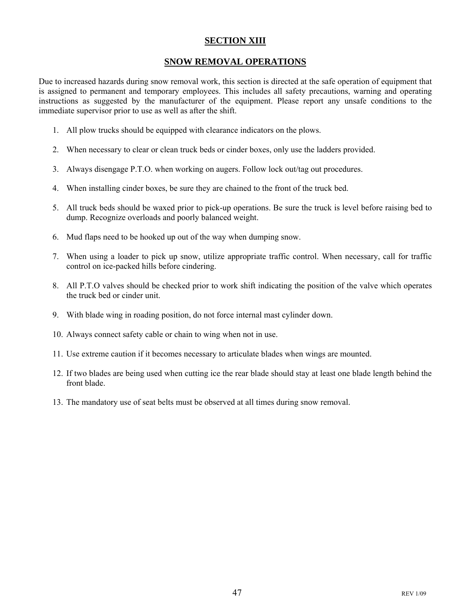### **SECTION XIII**

### **SNOW REMOVAL OPERATIONS**

Due to increased hazards during snow removal work, this section is directed at the safe operation of equipment that is assigned to permanent and temporary employees. This includes all safety precautions, warning and operating instructions as suggested by the manufacturer of the equipment. Please report any unsafe conditions to the immediate supervisor prior to use as well as after the shift.

- 1. All plow trucks should be equipped with clearance indicators on the plows.
- 2. When necessary to clear or clean truck beds or cinder boxes, only use the ladders provided.
- 3. Always disengage P.T.O. when working on augers. Follow lock out/tag out procedures.
- 4. When installing cinder boxes, be sure they are chained to the front of the truck bed.
- 5. All truck beds should be waxed prior to pick-up operations. Be sure the truck is level before raising bed to dump. Recognize overloads and poorly balanced weight.
- 6. Mud flaps need to be hooked up out of the way when dumping snow.
- 7. When using a loader to pick up snow, utilize appropriate traffic control. When necessary, call for traffic control on ice-packed hills before cindering.
- 8. All P.T.O valves should be checked prior to work shift indicating the position of the valve which operates the truck bed or cinder unit.
- 9. With blade wing in roading position, do not force internal mast cylinder down.
- 10. Always connect safety cable or chain to wing when not in use.
- 11. Use extreme caution if it becomes necessary to articulate blades when wings are mounted.
- 12. If two blades are being used when cutting ice the rear blade should stay at least one blade length behind the front blade.
- 13. The mandatory use of seat belts must be observed at all times during snow removal.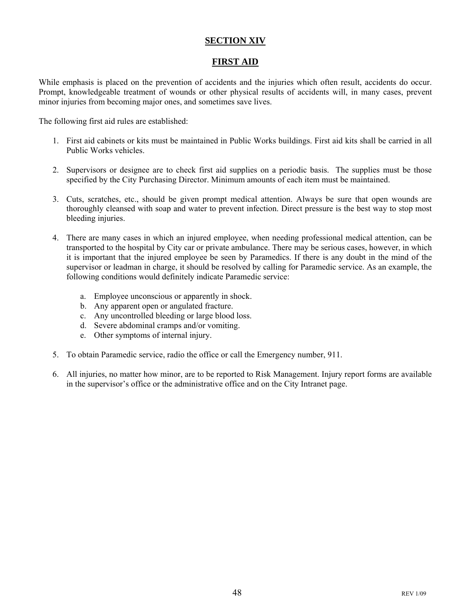### **SECTION XIV**

### **FIRST AID**

While emphasis is placed on the prevention of accidents and the injuries which often result, accidents do occur. Prompt, knowledgeable treatment of wounds or other physical results of accidents will, in many cases, prevent minor injuries from becoming major ones, and sometimes save lives.

The following first aid rules are established:

- 1. First aid cabinets or kits must be maintained in Public Works buildings. First aid kits shall be carried in all Public Works vehicles.
- 2. Supervisors or designee are to check first aid supplies on a periodic basis. The supplies must be those specified by the City Purchasing Director. Minimum amounts of each item must be maintained.
- 3. Cuts, scratches, etc., should be given prompt medical attention. Always be sure that open wounds are thoroughly cleansed with soap and water to prevent infection. Direct pressure is the best way to stop most bleeding injuries.
- 4. There are many cases in which an injured employee, when needing professional medical attention, can be transported to the hospital by City car or private ambulance. There may be serious cases, however, in which it is important that the injured employee be seen by Paramedics. If there is any doubt in the mind of the supervisor or leadman in charge, it should be resolved by calling for Paramedic service. As an example, the following conditions would definitely indicate Paramedic service:
	- a. Employee unconscious or apparently in shock.
	- b. Any apparent open or angulated fracture.
	- c. Any uncontrolled bleeding or large blood loss.
	- d. Severe abdominal cramps and/or vomiting.
	- e. Other symptoms of internal injury.
- 5. To obtain Paramedic service, radio the office or call the Emergency number, 911.
- 6. All injuries, no matter how minor, are to be reported to Risk Management. Injury report forms are available in the supervisor's office or the administrative office and on the City Intranet page.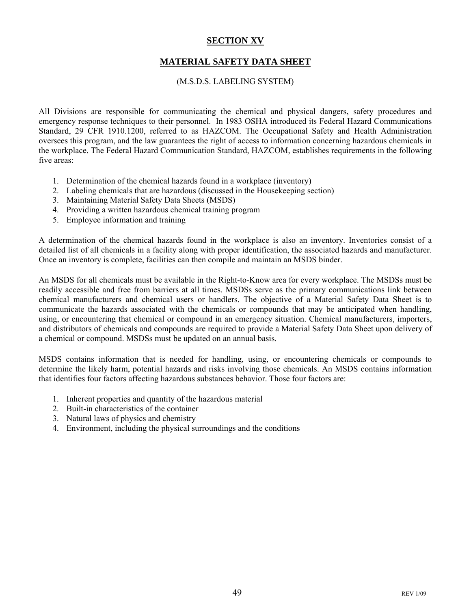### **SECTION XV**

### **MATERIAL SAFETY DATA SHEET**

### (M.S.D.S. LABELING SYSTEM)

All Divisions are responsible for communicating the chemical and physical dangers, safety procedures and emergency response techniques to their personnel. In 1983 OSHA introduced its Federal Hazard Communications Standard, 29 CFR 1910.1200, referred to as HAZCOM. The Occupational Safety and Health Administration oversees this program, and the law guarantees the right of access to information concerning hazardous chemicals in the workplace. The Federal Hazard Communication Standard, HAZCOM, establishes requirements in the following five areas:

- 1. Determination of the chemical hazards found in a workplace (inventory)
- 2. Labeling chemicals that are hazardous (discussed in the Housekeeping section)
- 3. Maintaining Material Safety Data Sheets (MSDS)
- 4. Providing a written hazardous chemical training program
- 5. Employee information and training

A determination of the chemical hazards found in the workplace is also an inventory. Inventories consist of a detailed list of all chemicals in a facility along with proper identification, the associated hazards and manufacturer. Once an inventory is complete, facilities can then compile and maintain an MSDS binder.

An MSDS for all chemicals must be available in the Right-to-Know area for every workplace. The MSDSs must be readily accessible and free from barriers at all times. MSDSs serve as the primary communications link between chemical manufacturers and chemical users or handlers. The objective of a Material Safety Data Sheet is to communicate the hazards associated with the chemicals or compounds that may be anticipated when handling, using, or encountering that chemical or compound in an emergency situation. Chemical manufacturers, importers, and distributors of chemicals and compounds are required to provide a Material Safety Data Sheet upon delivery of a chemical or compound. MSDSs must be updated on an annual basis.

MSDS contains information that is needed for handling, using, or encountering chemicals or compounds to determine the likely harm, potential hazards and risks involving those chemicals. An MSDS contains information that identifies four factors affecting hazardous substances behavior. Those four factors are:

- 1. Inherent properties and quantity of the hazardous material
- 2. Built-in characteristics of the container
- 3. Natural laws of physics and chemistry
- 4. Environment, including the physical surroundings and the conditions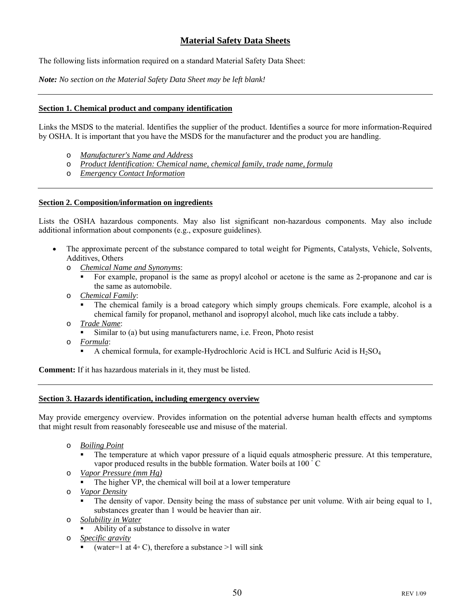### **Material Safety Data Sheets**

The following lists information required on a standard Material Safety Data Sheet:

*Note: No section on the Material Safety Data Sheet may be left blank!*

#### **Section 1. Chemical product and company identification**

Links the MSDS to the material. Identifies the supplier of the product. Identifies a source for more information-Required by OSHA. It is important that you have the MSDS for the manufacturer and the product you are handling.

- o *Manufacturer's Name and Address*
- o *Product Identification: Chemical name, chemical family, trade name, formula*
- o *Emergency Contact Information*

#### **Section 2. Composition/information on ingredients**

Lists the OSHA hazardous components. May also list significant non-hazardous components. May also include additional information about components (e.g., exposure guidelines).

- The approximate percent of the substance compared to total weight for Pigments, Catalysts, Vehicle, Solvents, Additives, Others
	- o *Chemical Name and Synonyms*:
		- For example, propanol is the same as propyl alcohol or acetone is the same as 2-propanone and car is the same as automobile.
	- o *Chemical Family*:
		- The chemical family is a broad category which simply groups chemicals. Fore example, alcohol is a chemical family for propanol, methanol and isopropyl alcohol, much like cats include a tabby.
	- o *Trade Name*:
		- Similar to (a) but using manufacturers name, i.e. Freon, Photo resist
	- o *Formula*:
		- A chemical formula, for example-Hydrochloric Acid is HCL and Sulfuric Acid is  $H_2SO_4$

**Comment:** If it has hazardous materials in it, they must be listed.

### **Section 3. Hazards identification, including emergency overview**

May provide emergency overview. Provides information on the potential adverse human health effects and symptoms that might result from reasonably foreseeable use and misuse of the material.

- o *Boiling Point* 
	- The temperature at which vapor pressure of a liquid equals atmospheric pressure. At this temperature, vapor produced results in the bubble formation. Water boils at 100 $\degree$ C
- o *Vapor Pressure (mm Hg)* 
	- The higher VP, the chemical will boil at a lower temperature
- o *Vapor Density*
	- The density of vapor. Density being the mass of substance per unit volume. With air being equal to 1, substances greater than 1 would be heavier than air.
- o *Solubility in Water*
	- Ability of a substance to dissolve in water
- o *Specific gravity* 
	- (water=1 at  $4\textdegree$  C), therefore a substance >1 will sink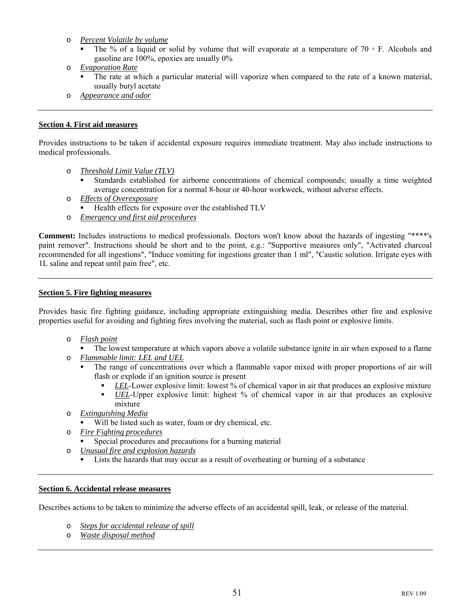- o *Percent Volatile by volume*
	- The % of a liquid or solid by volume that will evaporate at a temperature of  $70 \circ F$ . Alcohols and gasoline are 100%, epoxies are usually 0%
- o *Evaporation Rate*
	- The rate at which a particular material will vaporize when compared to the rate of a known material, usually butyl acetate
- o *Appearance and odor*

#### **Section 4. First aid measures**

Provides instructions to be taken if accidental exposure requires immediate treatment. May also include instructions to medical professionals.

- o *Threshold Limit Value (TLV)*
	- Standards established for airborne concentrations of chemical compounds; usually a time weighted average concentration for a normal 8-hour or 40-hour workweek, without adverse effects.
- o *Effects of Overexposure*
	- Health effects for exposure over the established TLV
- o *Emergency and first aid procedures*

**Comment:** Includes instructions to medical professionals. Doctors won't know about the hazards of ingesting "\*\*\*\*'s paint remover". Instructions should be short and to the point, e.g.: "Supportive measures only", "Activated charcoal recommended for all ingestions", "Induce vomiting for ingestions greater than 1 ml", "Caustic solution. Irrigate eyes with 1L saline and repeat until pain free", etc.

#### **Section 5. Fire fighting measures**

Provides basic fire fighting guidance, including appropriate extinguishing media. Describes other fire and explosive properties useful for avoiding and fighting fires involving the material, such as flash point or explosive limits.

- o *Flash point*
	- The lowest temperature at which vapors above a volatile substance ignite in air when exposed to a flame
- o *Flammable limit: LEL and UEL*
	- The range of concentrations over which a flammable vapor mixed with proper proportions of air will flash or explode if an ignition source is present
		- *LEL*-Lower explosive limit: lowest % of chemical vapor in air that produces an explosive mixture
		- *UEL*-Upper explosive limit: highest % of chemical vapor in air that produces an explosive mixture
- o *Extinguishing Media*
	- Will be listed such as water, foam or dry chemical, etc.
- o *Fire Fighting procedures*
	- Special procedures and precautions for a burning material
- o *Unusual fire and explosion hazards*
	- Lists the hazards that may occur as a result of overheating or burning of a substance

#### **Section 6. Accidental release measures**

Describes actions to be taken to minimize the adverse effects of an accidental spill, leak, or release of the material.

- o *Steps for accidental release of spill*
- o *Waste disposal method*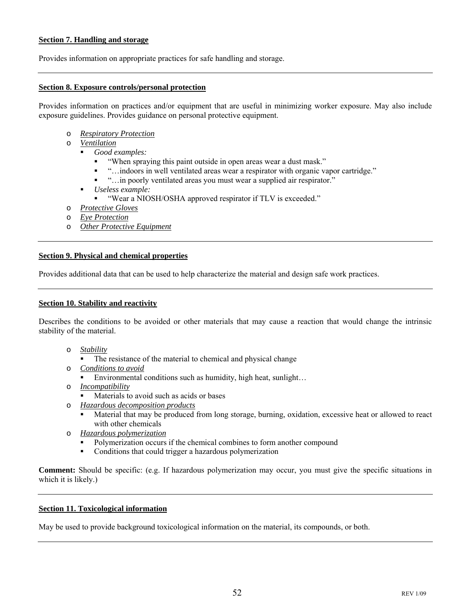### **Section 7. Handling and storage**

Provides information on appropriate practices for safe handling and storage.

#### **Section 8. Exposure controls/personal protection**

Provides information on practices and/or equipment that are useful in minimizing worker exposure. May also include exposure guidelines. Provides guidance on personal protective equipment.

- o *Respiratory Protection*
- o *Ventilation* 
	- *Good examples:* 
		- "When spraying this paint outside in open areas wear a dust mask."
		- "…indoors in well ventilated areas wear a respirator with organic vapor cartridge."
		- "…in poorly ventilated areas you must wear a supplied air respirator."
	- *Useless example:* 
		- "Wear a NIOSH/OSHA approved respirator if TLV is exceeded."
- o *Protective Gloves*
- o *Eye Protection*
- o *Other Protective Equipment*

#### **Section 9. Physical and chemical properties**

Provides additional data that can be used to help characterize the material and design safe work practices.

#### **Section 10. Stability and reactivity**

Describes the conditions to be avoided or other materials that may cause a reaction that would change the intrinsic stability of the material.

- o *Stability*
	- The resistance of the material to chemical and physical change
- o *Conditions to avoid*
	- Environmental conditions such as humidity, high heat, sunlight...
- o *Incompatibility*
	- Materials to avoid such as acids or bases
- o *Hazardous decomposition products*
	- Material that may be produced from long storage, burning, oxidation, excessive heat or allowed to react with other chemicals
- o *Hazardous polymerization*
	- Polymerization occurs if the chemical combines to form another compound
	- Conditions that could trigger a hazardous polymerization

**Comment:** Should be specific: (e.g. If hazardous polymerization may occur, you must give the specific situations in which it is likely.)

#### **Section 11. Toxicological information**

May be used to provide background toxicological information on the material, its compounds, or both.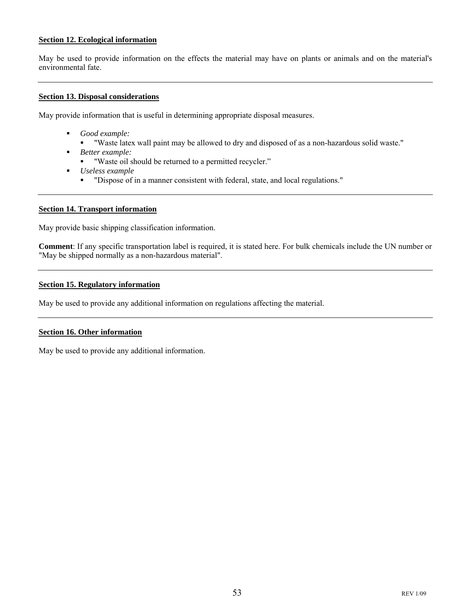### **Section 12. Ecological information**

May be used to provide information on the effects the material may have on plants or animals and on the material's environmental fate.

#### **Section 13. Disposal considerations**

May provide information that is useful in determining appropriate disposal measures.

- *Good example:* 
	- "Waste latex wall paint may be allowed to dry and disposed of as a non-hazardous solid waste."
- *Better example:* 
	- "Waste oil should be returned to a permitted recycler."
- *Useless example* 
	- "Dispose of in a manner consistent with federal, state, and local regulations."

#### **Section 14. Transport information**

May provide basic shipping classification information.

**Comment**: If any specific transportation label is required, it is stated here. For bulk chemicals include the UN number or "May be shipped normally as a non-hazardous material".

#### **Section 15. Regulatory information**

May be used to provide any additional information on regulations affecting the material.

#### **Section 16. Other information**

May be used to provide any additional information.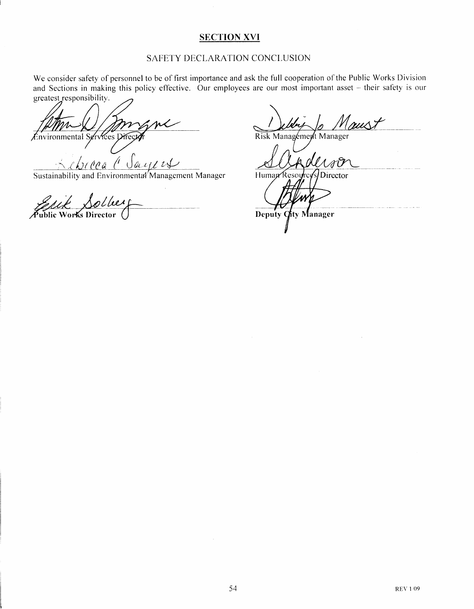### **SECTION XVI**

### SAFETY DECLARATION CONCLUSION

We consider safety of personnel to be of first importance and ask the full cooperation of the Public Works Division and Sections in making this policy effective. Our employees are our most important asset - their safety is our greatest responsibility.

Environmental Services Dire

 $\iota$ A B  $u\mu$ 

Sustainability and Environmental Management Manager

Works Director Public

rust Risk Management Manager

 $\overline{\mu}$ 

Human Resourc Director

Deputy City Manager